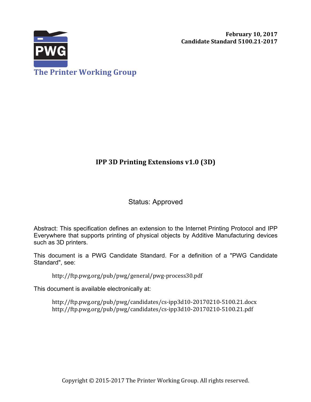

# **IPP 3D Printing Extensions v1.0 (3D)**

# Status: Approved

Abstract: This specification defines an extension to the Internet Printing Protocol and IPP Everywhere that supports printing of physical objects by Additive Manufacturing devices such as 3D printers.

This document is a PWG Candidate Standard. For a definition of a "PWG Candidate Standard", see:

http://ftp.pwg.org/pub/pwg/general/pwg-process30.pdf

This document is available electronically at:

http://ftp.pwg.org/pub/pwg/candidates/cs-ipp3d10-20170210-5100.21.docx http://ftp.pwg.org/pub/pwg/candidates/cs-ipp3d10-20170210-5100.21.pdf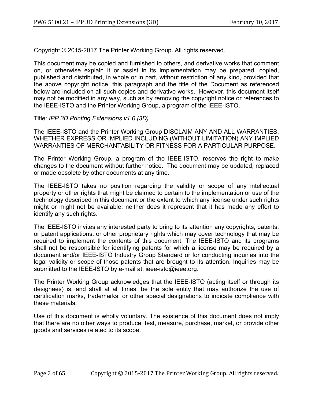Copyright © 2015-2017 The Printer Working Group. All rights reserved.

This document may be copied and furnished to others, and derivative works that comment on, or otherwise explain it or assist in its implementation may be prepared, copied, published and distributed, in whole or in part, without restriction of any kind, provided that the above copyright notice, this paragraph and the title of the Document as referenced below are included on all such copies and derivative works. However, this document itself may not be modified in any way, such as by removing the copyright notice or references to the IEEE-ISTO and the Printer Working Group, a program of the IEEE-ISTO.

Title: *IPP 3D Printing Extensions v1.0 (3D)*

The IEEE-ISTO and the Printer Working Group DISCLAIM ANY AND ALL WARRANTIES, WHETHER EXPRESS OR IMPLIED INCLUDING (WITHOUT LIMITATION) ANY IMPLIED WARRANTIES OF MERCHANTABILITY OR FITNESS FOR A PARTICULAR PURPOSE.

The Printer Working Group, a program of the IEEE-ISTO, reserves the right to make changes to the document without further notice. The document may be updated, replaced or made obsolete by other documents at any time.

The IEEE-ISTO takes no position regarding the validity or scope of any intellectual property or other rights that might be claimed to pertain to the implementation or use of the technology described in this document or the extent to which any license under such rights might or might not be available; neither does it represent that it has made any effort to identify any such rights.

The IEEE-ISTO invites any interested party to bring to its attention any copyrights, patents, or patent applications, or other proprietary rights which may cover technology that may be required to implement the contents of this document. The IEEE-ISTO and its programs shall not be responsible for identifying patents for which a license may be required by a document and/or IEEE-ISTO Industry Group Standard or for conducting inquiries into the legal validity or scope of those patents that are brought to its attention. Inquiries may be submitted to the IEEE-ISTO by e-mail at: ieee-isto@ieee.org.

The Printer Working Group acknowledges that the IEEE-ISTO (acting itself or through its designees) is, and shall at all times, be the sole entity that may authorize the use of certification marks, trademarks, or other special designations to indicate compliance with these materials.

Use of this document is wholly voluntary. The existence of this document does not imply that there are no other ways to produce, test, measure, purchase, market, or provide other goods and services related to its scope.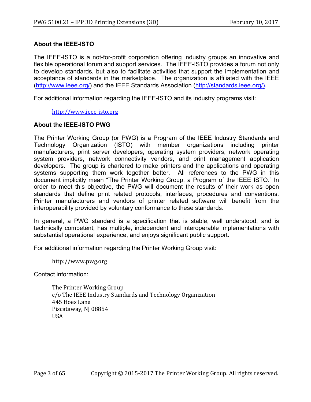### **About the IEEE-ISTO**

The IEEE-ISTO is a not-for-profit corporation offering industry groups an innovative and flexible operational forum and support services. The IEEE-ISTO provides a forum not only to develop standards, but also to facilitate activities that support the implementation and acceptance of standards in the marketplace. The organization is affiliated with the IEEE (http://www.ieee.org/) and the IEEE Standards Association (http://standards.ieee.org/).

For additional information regarding the IEEE-ISTO and its industry programs visit:

http://www.ieee-isto.org

### **About the IEEE-ISTO PWG**

The Printer Working Group (or PWG) is a Program of the IEEE Industry Standards and Technology Organization (ISTO) with member organizations including printer manufacturers, print server developers, operating system providers, network operating system providers, network connectivity vendors, and print management application developers. The group is chartered to make printers and the applications and operating systems supporting them work together better. All references to the PWG in this document implicitly mean "The Printer Working Group, a Program of the IEEE ISTO." In order to meet this objective, the PWG will document the results of their work as open standards that define print related protocols, interfaces, procedures and conventions. Printer manufacturers and vendors of printer related software will benefit from the interoperability provided by voluntary conformance to these standards.

In general, a PWG standard is a specification that is stable, well understood, and is technically competent, has multiple, independent and interoperable implementations with substantial operational experience, and enjoys significant public support.

For additional information regarding the Printer Working Group visit:

http://www.pwg.org

Contact information:

The Printer Working Group c/o The IEEE Industry Standards and Technology Organization 445 Hoes Lane Piscataway, NJ 08854 USA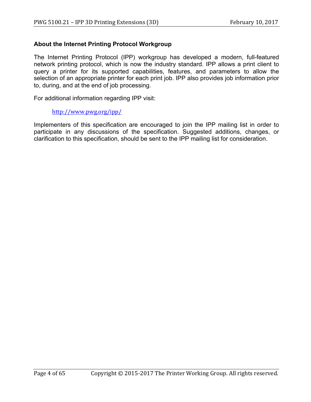### **About the Internet Printing Protocol Workgroup**

The Internet Printing Protocol (IPP) workgroup has developed a modern, full-featured network printing protocol, which is now the industry standard. IPP allows a print client to query a printer for its supported capabilities, features, and parameters to allow the selection of an appropriate printer for each print job. IPP also provides job information prior to, during, and at the end of job processing.

For additional information regarding IPP visit:

#### http://www.pwg.org/ipp/

Implementers of this specification are encouraged to join the IPP mailing list in order to participate in any discussions of the specification. Suggested additions, changes, or clarification to this specification, should be sent to the IPP mailing list for consideration.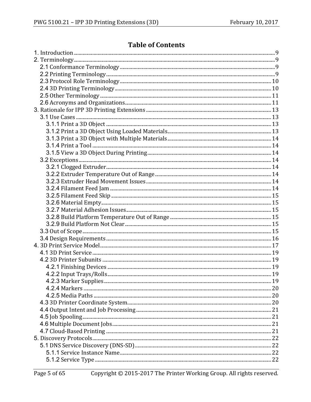# **Table of Contents**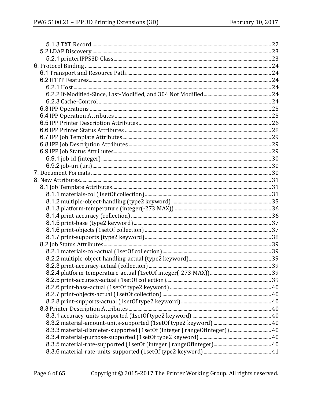| 8.3.3 material-diameter-supported (1setOf (integer   rangeOfInteger))  40 |  |
|---------------------------------------------------------------------------|--|
|                                                                           |  |
|                                                                           |  |
|                                                                           |  |
|                                                                           |  |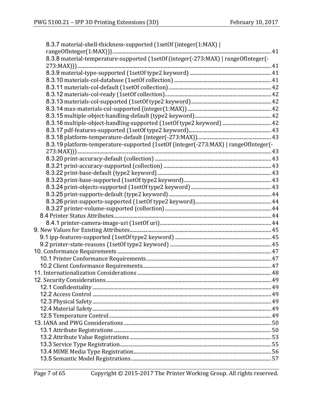| 8.3.7 material-shell-thickness-supported (1setOf (integer(1:MAX)                    |  |
|-------------------------------------------------------------------------------------|--|
|                                                                                     |  |
| 8.3.8 material-temperature-supported (1setOf (integer(-273:MAX)   rangeOfInteger(-  |  |
|                                                                                     |  |
|                                                                                     |  |
|                                                                                     |  |
|                                                                                     |  |
|                                                                                     |  |
|                                                                                     |  |
|                                                                                     |  |
|                                                                                     |  |
|                                                                                     |  |
|                                                                                     |  |
|                                                                                     |  |
| 8.3.19 platform-temperature-supported (1setOf (integer(-273:MAX)   rangeOfInteger(- |  |
|                                                                                     |  |
|                                                                                     |  |
|                                                                                     |  |
|                                                                                     |  |
|                                                                                     |  |
|                                                                                     |  |
|                                                                                     |  |
|                                                                                     |  |
|                                                                                     |  |
|                                                                                     |  |
|                                                                                     |  |
|                                                                                     |  |
|                                                                                     |  |
|                                                                                     |  |
|                                                                                     |  |
|                                                                                     |  |
|                                                                                     |  |
|                                                                                     |  |
|                                                                                     |  |
|                                                                                     |  |
|                                                                                     |  |
|                                                                                     |  |
|                                                                                     |  |
|                                                                                     |  |
|                                                                                     |  |
|                                                                                     |  |
|                                                                                     |  |
|                                                                                     |  |
|                                                                                     |  |
|                                                                                     |  |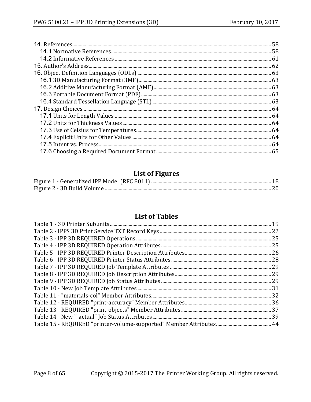# **List of Figures**

# **List of Tables**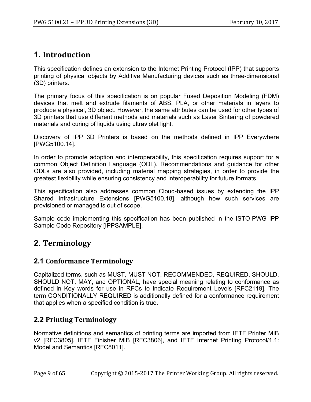# **1. Introduction**

This specification defines an extension to the Internet Printing Protocol (IPP) that supports printing of physical objects by Additive Manufacturing devices such as three-dimensional (3D) printers.

The primary focus of this specification is on popular Fused Deposition Modeling (FDM) devices that melt and extrude filaments of ABS, PLA, or other materials in layers to produce a physical, 3D object. However, the same attributes can be used for other types of 3D printers that use different methods and materials such as Laser Sintering of powdered materials and curing of liquids using ultraviolet light.

Discovery of IPP 3D Printers is based on the methods defined in IPP Everywhere [PWG5100.14].

In order to promote adoption and interoperability, this specification requires support for a common Object Definition Language (ODL). Recommendations and guidance for other ODLs are also provided, including material mapping strategies, in order to provide the greatest flexibility while ensuring consistency and interoperability for future formats.

This specification also addresses common Cloud-based issues by extending the IPP Shared Infrastructure Extensions [PWG5100.18], although how such services are provisioned or managed is out of scope.

Sample code implementing this specification has been published in the ISTO-PWG IPP Sample Code Repository [IPPSAMPLE].

# **2. Terminology**

# **2.1 Conformance Terminology**

Capitalized terms, such as MUST, MUST NOT, RECOMMENDED, REQUIRED, SHOULD, SHOULD NOT, MAY, and OPTIONAL, have special meaning relating to conformance as defined in Key words for use in RFCs to Indicate Requirement Levels [RFC2119]. The term CONDITIONALLY REQUIRED is additionally defined for a conformance requirement that applies when a specified condition is true.

# **2.2 Printing Terminology**

Normative definitions and semantics of printing terms are imported from IETF Printer MIB v2 [RFC3805], IETF Finisher MIB [RFC3806], and IETF Internet Printing Protocol/1.1: Model and Semantics [RFC8011].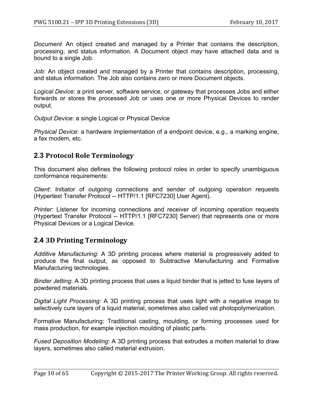*Document*: An object created and managed by a Printer that contains the description, processing, and status information. A Document object may have attached data and is bound to a single Job.

*Job*: An object created and managed by a Printer that contains description, processing, and status information. The Job also contains zero or more Document objects.

*Logical Device*: a print server, software service, or gateway that processes Jobs and either forwards or stores the processed Job or uses one or more Physical Devices to render output.

*Output Device*: a single Logical or Physical Device

*Physical Device*: a hardware implementation of a endpoint device, e.g., a marking engine, a fax modem, etc.

## **2.3 Protocol Role Terminology**

This document also defines the following protocol roles in order to specify unambiguous conformance requirements:

*Client*: Initiator of outgoing connections and sender of outgoing operation requests (Hypertext Transfer Protocol -- HTTP/1.1 [RFC7230] User Agent).

*Printer*: Listener for incoming connections and receiver of incoming operation requests (Hypertext Transfer Protocol -- HTTP/1.1 [RFC7230] Server) that represents one or more Physical Devices or a Logical Device.

# **2.4 3D Printing Terminology**

*Additive Manufacturing*: A 3D printing process where material is progressively added to produce the final output, as opposed to Subtractive Manufacturing and Formative Manufacturing technologies.

*Binder Jetting*: A 3D printing process that uses a liquid binder that is jetted to fuse layers of powdered materials.

*Digital Light Processing*: A 3D printing process that uses light with a negative image to selectively cure layers of a liquid material, sometimes also called vat photopolymerization.

Formative Manufacturing: Traditional casting, moulding, or forming processes used for mass production, for example injection moulding of plastic parts.

*Fused Deposition Modeling*: A 3D printing process that extrudes a molten material to draw layers, sometimes also called material extrusion.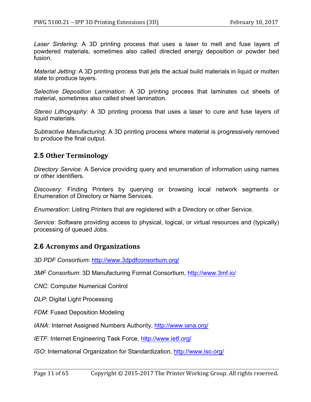*Laser Sintering*: A 3D printing process that uses a laser to melt and fuse layers of powdered materials, sometimes also called directed energy deposition or powder bed fusion.

*Material Jetting*: A 3D printing process that jets the actual build materials in liquid or molten state to produce layers.

*Selective Deposition Lamination*: A 3D printing process that laminates cut sheets of material, sometimes also called sheet lamination.

*Stereo Lithography*: A 3D printing process that uses a laser to cure and fuse layers of liquid materials.

*Subtractive Manufacturing*: A 3D printing process where material is progressively removed to produce the final output.

## **2.5 Other Terminology**

*Directory Service*: A Service providing query and enumeration of information using names or other identifiers.

*Discovery*: Finding Printers by querying or browsing local network segments or Enumeration of Directory or Name Services.

*Enumeration*: Listing Printers that are registered with a Directory or other Service.

*Service*: Software providing access to physical, logical, or virtual resources and (typically) processing of queued Jobs.

## **2.6 Acronyms and Organizations**

*3D PDF Consortium*: http://www.3dpdfconsortium.org/

*3MF Consortium*: 3D Manufacturing Format Consortium, http://www.3mf.io/

*CNC*: Computer Numerical Control

*DLP*: Digital Light Processing

*FDM*: Fused Deposition Modeling

*IANA*: Internet Assigned Numbers Authority, http://www.iana.org/

*IETF*: Internet Engineering Task Force, http://www.ietf.org/

*ISO*: International Organization for Standardization, http://www.iso.org/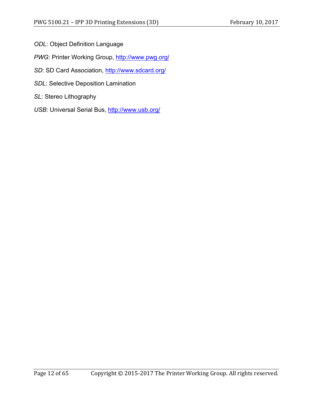- *ODL*: Object Definition Language
- *PWG*: Printer Working Group, http://www.pwg.org/
- *SD*: SD Card Association, http://www.sdcard.org/
- *SDL*: Selective Deposition Lamination
- *SL*: Stereo Lithography
- USB: Universal Serial Bus, http://www.usb.org/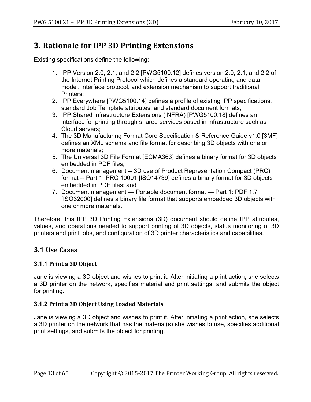# **3. Rationale for IPP 3D Printing Extensions**

Existing specifications define the following:

- 1. IPP Version 2.0, 2.1, and 2.2 [PWG5100.12] defines version 2.0, 2.1, and 2.2 of the Internet Printing Protocol which defines a standard operating and data model, interface protocol, and extension mechanism to support traditional Printers;
- 2. IPP Everywhere [PWG5100.14] defines a profile of existing IPP specifications, standard Job Template attributes, and standard document formats;
- 3. IPP Shared Infrastructure Extensions (INFRA) [PWG5100.18] defines an interface for printing through shared services based in infrastructure such as Cloud servers;
- 4. The 3D Manufacturing Format Core Specification & Reference Guide v1.0 [3MF] defines an XML schema and file format for describing 3D objects with one or more materials;
- 5. The Universal 3D File Format [ECMA363] defines a binary format for 3D objects embedded in PDF files;
- 6. Document management -- 3D use of Product Representation Compact (PRC) format -- Part 1: PRC 10001 [ISO14739] defines a binary format for 3D objects embedded in PDF files; and
- 7. Document management Portable document format Part 1: PDF 1.7 [ISO32000] defines a binary file format that supports embedded 3D objects with one or more materials.

Therefore, this IPP 3D Printing Extensions (3D) document should define IPP attributes, values, and operations needed to support printing of 3D objects, status monitoring of 3D printers and print jobs, and configuration of 3D printer characteristics and capabilities.

# **3.1 Use Cases**

### **3.1.1 Print a 3D Object**

Jane is viewing a 3D object and wishes to print it. After initiating a print action, she selects a 3D printer on the network, specifies material and print settings, and submits the object for printing.

### **3.1.2 Print a 3D Object Using Loaded Materials**

Jane is viewing a 3D object and wishes to print it. After initiating a print action, she selects a 3D printer on the network that has the material(s) she wishes to use, specifies additional print settings, and submits the object for printing.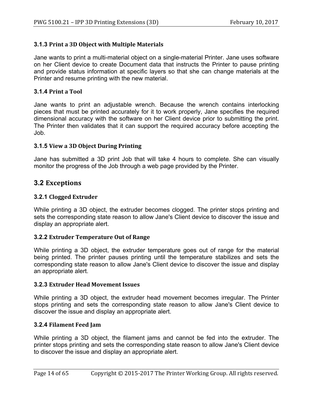### **3.1.3 Print a 3D Object with Multiple Materials**

Jane wants to print a multi-material object on a single-material Printer. Jane uses software on her Client device to create Document data that instructs the Printer to pause printing and provide status information at specific layers so that she can change materials at the Printer and resume printing with the new material.

#### **3.1.4 Print a Tool**

Jane wants to print an adjustable wrench. Because the wrench contains interlocking pieces that must be printed accurately for it to work properly, Jane specifies the required dimensional accuracy with the software on her Client device prior to submitting the print. The Printer then validates that it can support the required accuracy before accepting the Job.

#### **3.1.5 View a 3D Object During Printing**

Jane has submitted a 3D print Job that will take 4 hours to complete. She can visually monitor the progress of the Job through a web page provided by the Printer.

### **3.2 Exceptions**

#### **3.2.1 Clogged Extruder**

While printing a 3D object, the extruder becomes clogged. The printer stops printing and sets the corresponding state reason to allow Jane's Client device to discover the issue and display an appropriate alert.

#### **3.2.2 Extruder Temperature Out of Range**

While printing a 3D object, the extruder temperature goes out of range for the material being printed. The printer pauses printing until the temperature stabilizes and sets the corresponding state reason to allow Jane's Client device to discover the issue and display an appropriate alert.

#### **3.2.3 Extruder Head Movement Issues**

While printing a 3D object, the extruder head movement becomes irregular. The Printer stops printing and sets the corresponding state reason to allow Jane's Client device to discover the issue and display an appropriate alert.

#### **3.2.4 Filament Feed Jam**

While printing a 3D object, the filament jams and cannot be fed into the extruder. The printer stops printing and sets the corresponding state reason to allow Jane's Client device to discover the issue and display an appropriate alert.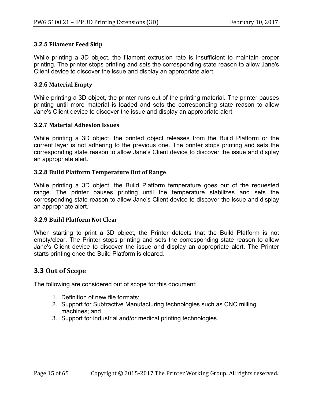### **3.2.5 Filament Feed Skip**

While printing a 3D object, the filament extrusion rate is insufficient to maintain proper printing. The printer stops printing and sets the corresponding state reason to allow Jane's Client device to discover the issue and display an appropriate alert.

### **3.2.6 Material Empty**

While printing a 3D object, the printer runs out of the printing material. The printer pauses printing until more material is loaded and sets the corresponding state reason to allow Jane's Client device to discover the issue and display an appropriate alert.

### **3.2.7 Material Adhesion Issues**

While printing a 3D object, the printed object releases from the Build Platform or the current layer is not adhering to the previous one. The printer stops printing and sets the corresponding state reason to allow Jane's Client device to discover the issue and display an appropriate alert.

### **3.2.8 Build Platform Temperature Out of Range**

While printing a 3D object, the Build Platform temperature goes out of the requested range. The printer pauses printing until the temperature stabilizes and sets the corresponding state reason to allow Jane's Client device to discover the issue and display an appropriate alert.

#### **3.2.9 Build Platform Not Clear**

When starting to print a 3D object, the Printer detects that the Build Platform is not empty/clear. The Printer stops printing and sets the corresponding state reason to allow Jane's Client device to discover the issue and display an appropriate alert. The Printer starts printing once the Build Platform is cleared.

## **3.3 Out of Scope**

The following are considered out of scope for this document:

- 1. Definition of new file formats;
- 2. Support for Subtractive Manufacturing technologies such as CNC milling machines; and
- 3. Support for industrial and/or medical printing technologies.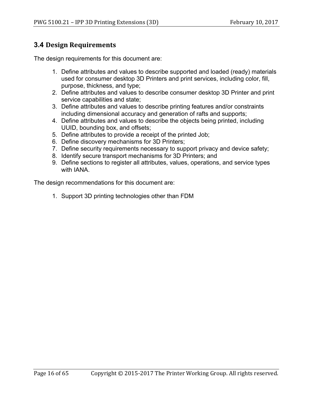# **3.4 Design Requirements**

The design requirements for this document are:

- 1. Define attributes and values to describe supported and loaded (ready) materials used for consumer desktop 3D Printers and print services, including color, fill, purpose, thickness, and type;
- 2. Define attributes and values to describe consumer desktop 3D Printer and print service capabilities and state;
- 3. Define attributes and values to describe printing features and/or constraints including dimensional accuracy and generation of rafts and supports;
- 4. Define attributes and values to describe the objects being printed, including UUID, bounding box, and offsets;
- 5. Define attributes to provide a receipt of the printed Job;
- 6. Define discovery mechanisms for 3D Printers;
- 7. Define security requirements necessary to support privacy and device safety;
- 8. Identify secure transport mechanisms for 3D Printers; and
- 9. Define sections to register all attributes, values, operations, and service types with IANA.

The design recommendations for this document are:

1. Support 3D printing technologies other than FDM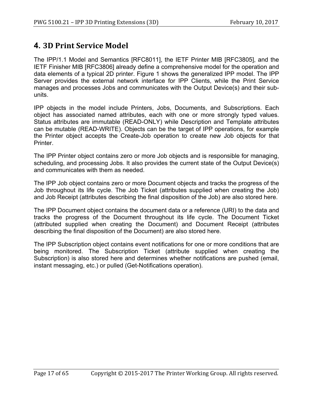# **4. 3D Print Service Model**

The IPP/1.1 Model and Semantics [RFC8011], the IETF Printer MIB [RFC3805], and the IETF Finisher MIB [RFC3806] already define a comprehensive model for the operation and data elements of a typical 2D printer. Figure 1 shows the generalized IPP model. The IPP Server provides the external network interface for IPP Clients, while the Print Service manages and processes Jobs and communicates with the Output Device(s) and their subunits.

IPP objects in the model include Printers, Jobs, Documents, and Subscriptions. Each object has associated named attributes, each with one or more strongly typed values. Status attributes are immutable (READ-ONLY) while Description and Template attributes can be mutable (READ-WRITE). Objects can be the target of IPP operations, for example the Printer object accepts the Create-Job operation to create new Job objects for that Printer.

The IPP Printer object contains zero or more Job objects and is responsible for managing, scheduling, and processing Jobs. It also provides the current state of the Output Device(s) and communicates with them as needed.

The IPP Job object contains zero or more Document objects and tracks the progress of the Job throughout its life cycle. The Job Ticket (attributes supplied when creating the Job) and Job Receipt (attributes describing the final disposition of the Job) are also stored here.

The IPP Document object contains the document data or a reference (URI) to the data and tracks the progress of the Document throughout its life cycle. The Document Ticket (attributed supplied when creating the Document) and Document Receipt (attributes describing the final disposition of the Document) are also stored here.

The IPP Subscription object contains event notifications for one or more conditions that are being monitored. The Subscription Ticket (attribute supplied when creating the Subscription) is also stored here and determines whether notifications are pushed (email, instant messaging, etc.) or pulled (Get-Notifications operation).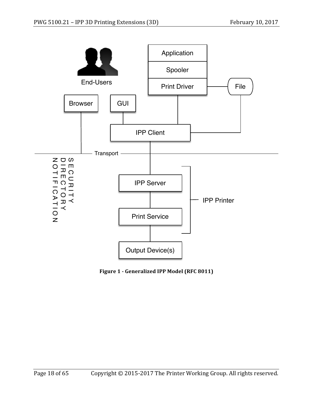

**Figure 1 - Generalized IPP Model (RFC 8011)**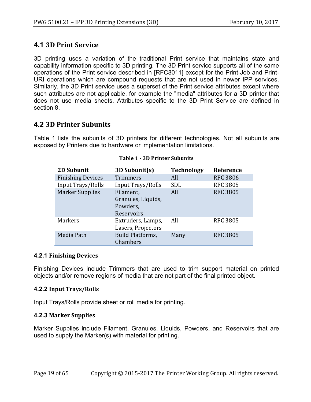# **4.1 3D Print Service**

3D printing uses a variation of the traditional Print service that maintains state and capability information specific to 3D printing. The 3D Print service supports all of the same operations of the Print service described in [RFC8011] except for the Print-Job and Print-URI operations which are compound requests that are not used in newer IPP services. Similarly, the 3D Print service uses a superset of the Print service attributes except where such attributes are not applicable, for example the "media" attributes for a 3D printer that does not use media sheets. Attributes specific to the 3D Print Service are defined in section 8.

# **4.2 3D Printer Subunits**

Table 1 lists the subunits of 3D printers for different technologies. Not all subunits are exposed by Printers due to hardware or implementation limitations.

| <b>2D Subunit</b>        | 3D Subunit(s)                                             | <b>Technology</b> | <b>Reference</b> |
|--------------------------|-----------------------------------------------------------|-------------------|------------------|
| <b>Finishing Devices</b> | <b>Trimmers</b>                                           | All               | <b>RFC 3806</b>  |
| Input Trays/Rolls        | Input Trays/Rolls                                         | <b>SDL</b>        | <b>RFC 3805</b>  |
| <b>Marker Supplies</b>   | Filament,<br>Granules, Liquids,<br>Powders,<br>Reservoirs | All               | <b>RFC 3805</b>  |
| <b>Markers</b>           | Extruders, Lamps,<br>Lasers, Projectors                   | All               | <b>RFC 3805</b>  |
| Media Path               | <b>Build Platforms,</b><br>Chambers                       | Many              | <b>RFC 3805</b>  |

#### **Table 1 - 3D Printer Subunits**

### **4.2.1 Finishing Devices**

Finishing Devices include Trimmers that are used to trim support material on printed objects and/or remove regions of media that are not part of the final printed object.

### **4.2.2 Input Trays/Rolls**

Input Trays/Rolls provide sheet or roll media for printing.

### **4.2.3 Marker Supplies**

Marker Supplies include Filament, Granules, Liquids, Powders, and Reservoirs that are used to supply the Marker(s) with material for printing.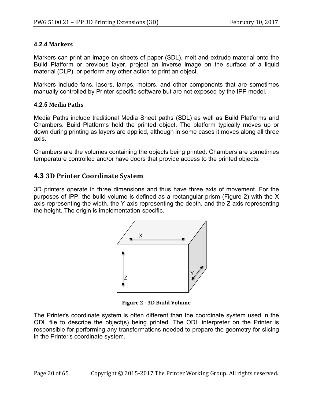## **4.2.4 Markers**

Markers can print an image on sheets of paper (SDL), melt and extrude material onto the Build Platform or previous layer, project an inverse image on the surface of a liquid material (DLP), or perform any other action to print an object.

Markers include fans, lasers, lamps, motors, and other components that are sometimes manually controlled by Printer-specific software but are not exposed by the IPP model.

### **4.2.5 Media Paths**

Media Paths include traditional Media Sheet paths (SDL) as well as Build Platforms and Chambers. Build Platforms hold the printed object. The platform typically moves up or down during printing as layers are applied, although in some cases it moves along all three axis.

Chambers are the volumes containing the objects being printed. Chambers are sometimes temperature controlled and/or have doors that provide access to the printed objects.

# **4.3 3D Printer Coordinate System**

3D printers operate in three dimensions and thus have three axis of movement. For the purposes of IPP, the build volume is defined as a rectangular prism (Figure 2) with the X axis representing the width, the Y axis representing the depth, and the Z axis representing the height. The origin is implementation-specific.



**Figure 2 - 3D Build Volume**

The Printer's coordinate system is often different than the coordinate system used in the ODL file to describe the object(s) being printed. The ODL interpreter on the Printer is responsible for performing any transformations needed to prepare the geometry for slicing in the Printer's coordinate system.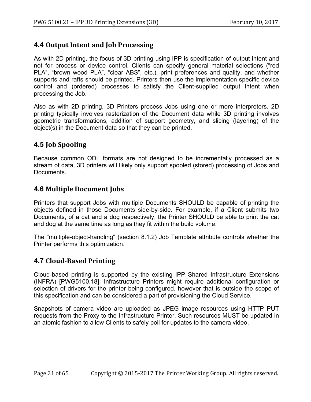# **4.4 Output Intent and Job Processing**

As with 2D printing, the focus of 3D printing using IPP is specification of output intent and not for process or device control. Clients can specify general material selections ("red PLA", "brown wood PLA", "clear ABS", etc.), print preferences and quality, and whether supports and rafts should be printed. Printers then use the implementation specific device control and (ordered) processes to satisfy the Client-supplied output intent when processing the Job.

Also as with 2D printing, 3D Printers process Jobs using one or more interpreters. 2D printing typically involves rasterization of the Document data while 3D printing involves geometric transformations, addition of support geometry, and slicing (layering) of the object(s) in the Document data so that they can be printed.

# **4.5 Job Spooling**

Because common ODL formats are not designed to be incrementally processed as a stream of data, 3D printers will likely only support spooled (stored) processing of Jobs and Documents.

# **4.6 Multiple Document Jobs**

Printers that support Jobs with multiple Documents SHOULD be capable of printing the objects defined in those Documents side-by-side. For example, if a Client submits two Documents, of a cat and a dog respectively, the Printer SHOULD be able to print the cat and dog at the same time as long as they fit within the build volume.

The "multiple-object-handling" (section 8.1.2) Job Template attribute controls whether the Printer performs this optimization.

# **4.7 Cloud-Based Printing**

Cloud-based printing is supported by the existing IPP Shared Infrastructure Extensions (INFRA) [PWG5100.18]. Infrastructure Printers might require additional configuration or selection of drivers for the printer being configured, however that is outside the scope of this specification and can be considered a part of provisioning the Cloud Service.

Snapshots of camera video are uploaded as JPEG image resources using HTTP PUT requests from the Proxy to the Infrastructure Printer. Such resources MUST be updated in an atomic fashion to allow Clients to safely poll for updates to the camera video.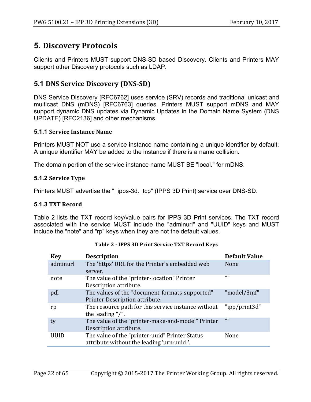# **5. Discovery Protocols**

Clients and Printers MUST support DNS-SD based Discovery. Clients and Printers MAY support other Discovery protocols such as LDAP.

# **5.1 DNS Service Discovery (DNS-SD)**

DNS Service Discovery [RFC6762] uses service (SRV) records and traditional unicast and multicast DNS (mDNS) [RFC6763] queries. Printers MUST support mDNS and MAY support dynamic DNS updates via Dynamic Updates in the Domain Name System (DNS UPDATE) [RFC2136] and other mechanisms.

#### **5.1.1 Service Instance Name**

Printers MUST NOT use a service instance name containing a unique identifier by default. A unique identifier MAY be added to the instance if there is a name collision.

The domain portion of the service instance name MUST BE "local." for mDNS.

### **5.1.2 Service Type**

Printers MUST advertise the "\_ipps-3d.\_tcp" (IPPS 3D Print) service over DNS-SD.

#### **5.1.3 TXT Record**

Table 2 lists the TXT record key/value pairs for IPPS 3D Print services. The TXT record associated with the service MUST include the "adminurl" and "UUID" keys and MUST include the "note" and "rp" keys when they are not the default values.

| <b>Key</b>  | <b>Description</b>                                  | <b>Default Value</b> |
|-------------|-----------------------------------------------------|----------------------|
| adminurl    | The 'https' URL for the Printer's embedded web      | None                 |
|             | server.                                             |                      |
| note        | The value of the "printer-location" Printer         | 1111                 |
|             | Description attribute.                              |                      |
| pdl         | The values of the "document-formats-supported"      | "model/3mf"          |
|             | Printer Description attribute.                      |                      |
| rp          | The resource path for this service instance without | "ipp/print3d"        |
|             | the leading $\frac{n}{r}$ .                         |                      |
| ty          | The value of the "printer-make-and-model" Printer   | 1111                 |
|             | Description attribute.                              |                      |
| <b>UUID</b> | The value of the "printer-uuid" Printer Status      | None                 |
|             | attribute without the leading 'urn:uuid:'.          |                      |

| Table 2 - IPPS 3D Print Service TXT Record Keys |
|-------------------------------------------------|
|                                                 |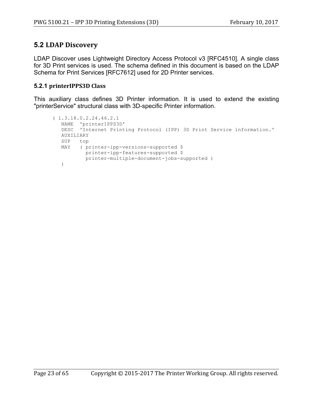# **5.2 LDAP Discovery**

LDAP Discover uses Lightweight Directory Access Protocol v3 [RFC4510]. A single class for 3D Print services is used. The schema defined in this document is based on the LDAP Schema for Print Services [RFC7612] used for 2D Printer services.

### **5.2.1 printerIPPS3D Class**

This auxiliary class defines 3D Printer information. It is used to extend the existing "printerService" structural class with 3D-specific Printer information.

```
( 1.3.18.0.2.24.46.2.1
   NAME 'printerIPPS3D'
   DESC 'Internet Printing Protocol (IPP) 3D Print Service information.'
   AUXILIARY
   SUP top
   MAY ( printer-ipp-versions-supported $
           printer-ipp-features-supported $
           printer-multiple-document-jobs-supported )
   )
```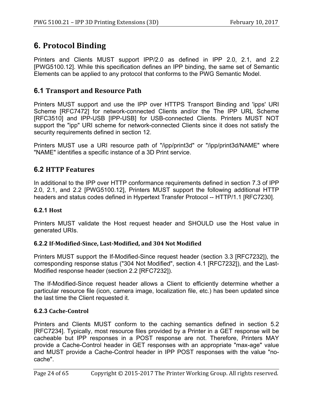# **6. Protocol Binding**

Printers and Clients MUST support IPP/2.0 as defined in IPP 2.0, 2.1, and 2.2 [PWG5100.12]. While this specification defines an IPP binding, the same set of Semantic Elements can be applied to any protocol that conforms to the PWG Semantic Model.

## **6.1 Transport and Resource Path**

Printers MUST support and use the IPP over HTTPS Transport Binding and 'ipps' URI Scheme [RFC7472] for network-connected Clients and/or the The IPP URL Scheme [RFC3510] and IPP-USB [IPP-USB] for USB-connected Clients. Printers MUST NOT support the "ipp" URI scheme for network-connected Clients since it does not satisfy the security requirements defined in section 12.

Printers MUST use a URI resource path of "/ipp/print3d" or "/ipp/print3d/NAME" where "NAME" identifies a specific instance of a 3D Print service.

# **6.2 HTTP Features**

In additional to the IPP over HTTP conformance requirements defined in section 7.3 of IPP 2.0, 2.1, and 2.2 [PWG5100.12], Printers MUST support the following additional HTTP headers and status codes defined in Hypertext Transfer Protocol -- HTTP/1.1 [RFC7230].

## **6.2.1 Host**

Printers MUST validate the Host request header and SHOULD use the Host value in generated URIs.

### **6.2.2 If-Modified-Since, Last-Modified, and 304 Not Modified**

Printers MUST support the If-Modified-Since request header (section 3.3 [RFC7232]), the corresponding response status ("304 Not Modified", section 4.1 [RFC7232]), and the Last-Modified response header (section 2.2 [RFC7232]).

The If-Modified-Since request header allows a Client to efficiently determine whether a particular resource file (icon, camera image, localization file, etc.) has been updated since the last time the Client requested it.

## **6.2.3 Cache-Control**

Printers and Clients MUST conform to the caching semantics defined in section 5.2 [RFC7234]. Typically, most resource files provided by a Printer in a GET response will be cacheable but IPP responses in a POST response are not. Therefore, Printers MAY provide a Cache-Control header in GET responses with an appropriate "max-age" value and MUST provide a Cache-Control header in IPP POST responses with the value "nocache".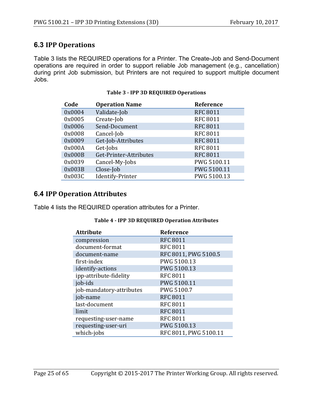# **6.3 IPP Operations**

Table 3 lists the REQUIRED operations for a Printer. The Create-Job and Send-Document operations are required in order to support reliable Job management (e.g., cancellation) during print Job submission, but Printers are not required to support multiple document Jobs.

| Code   | <b>Operation Name</b>  | Reference       |
|--------|------------------------|-----------------|
| 0x0004 | Validate-Job           | <b>RFC 8011</b> |
| 0x0005 | Create-Job             | <b>RFC 8011</b> |
| 0x0006 | Send-Document          | <b>RFC 8011</b> |
| 0x0008 | Cancel-Job             | <b>RFC 8011</b> |
| 0x0009 | Get-Job-Attributes     | <b>RFC 8011</b> |
| 0x000A | Get-Jobs               | <b>RFC 8011</b> |
| 0x000B | Get-Printer-Attributes | <b>RFC 8011</b> |
| 0x0039 | Cancel-My-Jobs         | PWG 5100.11     |
| 0x003B | Close-Job              | PWG 5100.11     |
| 0x003C | Identify-Printer       | PWG 5100.13     |

#### **Table 3 - IPP 3D REQUIRED Operations**

## **6.4 IPP Operation Attributes**

Table 4 lists the REQUIRED operation attributes for a Printer.

#### **Table 4 - IPP 3D REQUIRED Operation Attributes**

| <b>Attribute</b>         | Reference             |
|--------------------------|-----------------------|
| compression              | <b>RFC 8011</b>       |
| document-format          | <b>RFC 8011</b>       |
| document-name            | RFC 8011, PWG 5100.5  |
| first-index              | PWG 5100.13           |
| identify-actions         | PWG 5100.13           |
| ipp-attribute-fidelity   | <b>RFC 8011</b>       |
| job-ids                  | PWG 5100.11           |
| job-mandatory-attributes | PWG 5100.7            |
| job-name                 | <b>RFC 8011</b>       |
| last-document            | <b>RFC 8011</b>       |
| limit                    | <b>RFC 8011</b>       |
| requesting-user-name     | <b>RFC 8011</b>       |
| requesting-user-uri      | PWG 5100.13           |
| which-jobs               | RFC 8011, PWG 5100.11 |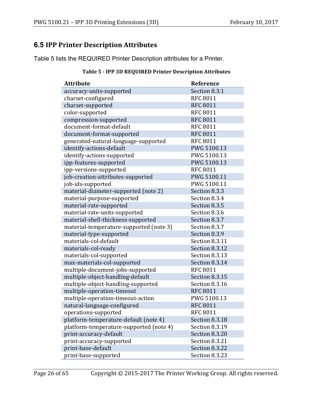# **6.5 IPP Printer Description Attributes**

Table 5 lists the REQUIRED Printer Description attributes for a Printer.

| <b>Attribute</b>                        | Reference       |
|-----------------------------------------|-----------------|
| accuracy-units-supported                | Section 8.3.1   |
| charset-configured                      | <b>RFC 8011</b> |
| charset-supported                       | <b>RFC 8011</b> |
| color-supported                         | <b>RFC 8011</b> |
| compression-supported                   | <b>RFC 8011</b> |
| document-format-default                 | <b>RFC 8011</b> |
| document-format-supported               | <b>RFC 8011</b> |
| generated-natural-language-supported    | <b>RFC 8011</b> |
| identify-actions-default                | PWG 5100.13     |
| identify-actions-supported              | PWG 5100.13     |
| ipp-features-supported                  | PWG 5100.13     |
| ipp-versions-supported                  | <b>RFC 8011</b> |
| job-creation-attributes-supported       | PWG 5100.11     |
| job-ids-supported                       | PWG 5100.11     |
| material-diameter-supported (note 2)    | Section 8.3.3   |
| material-purpose-supported              | Section 8.3.4   |
| material-rate-supported                 | Section 8.3.5   |
| material-rate-units-supported           | Section 8.3.6   |
| material-shell-thickness-supported      | Section 8.3.7   |
| material-temperature-supported (note 3) | Section 8.3.7   |
| material-type-supported                 | Section 8.3.9   |
| materials-col-default                   | Section 8.3.11  |
| materials-col-ready                     | Section 8.3.12  |
| materials-col-supported                 | Section 8.3.13  |
| max-materials-col-supported             | Section 8.3.14  |
| multiple-document-jobs-supported        | <b>RFC 8011</b> |
| multiple-object-handling-default        | Section 8.3.15  |
| multiple-object-handling-supported      | Section 8.3.16  |
| multiple-operation-timeout              | <b>RFC 8011</b> |
| multiple-operation-timeout-action       | PWG 5100.13     |
| natural-language-configured             | <b>RFC 8011</b> |
| operations-supported                    | <b>RFC 8011</b> |
| platform-temperature-default (note 4)   | Section 8.3.18  |
| platform-temperature-supported (note 4) | Section 8.3.19  |
| print-accuracy-default                  | Section 8.3.20  |
| print-accuracy-supported                | Section 8.3.21  |
| print-base-default                      | Section 8.3.22  |
| print-base-supported                    | Section 8.3.23  |

### **Table 5 - IPP 3D REQUIRED Printer Description Attributes**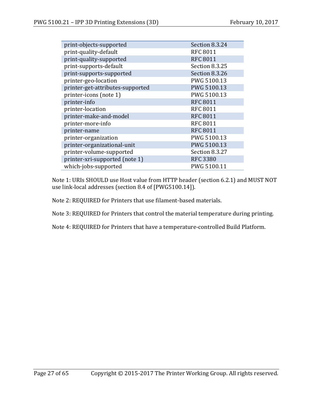| print-objects-supported          | Section 8.3.24  |
|----------------------------------|-----------------|
| print-quality-default            | <b>RFC 8011</b> |
| print-quality-supported          | <b>RFC 8011</b> |
| print-supports-default           | Section 8.3.25  |
| print-supports-supported         | Section 8.3.26  |
| printer-geo-location             | PWG 5100.13     |
| printer-get-attributes-supported | PWG 5100.13     |
| printer-icons (note 1)           | PWG 5100.13     |
| printer-info                     | <b>RFC 8011</b> |
| printer-location                 | <b>RFC 8011</b> |
| printer-make-and-model           | <b>RFC 8011</b> |
| printer-more-info                | <b>RFC 8011</b> |
| printer-name                     | <b>RFC 8011</b> |
| printer-organization             | PWG 5100.13     |
| printer-organizational-unit      | PWG 5100.13     |
| printer-volume-supported         | Section 8.3.27  |
| printer-xri-supported (note 1)   | <b>RFC 3380</b> |
| which-jobs-supported             | PWG 5100.11     |

Note 1: URIs SHOULD use Host value from HTTP header (section 6.2.1) and MUST NOT use link-local addresses (section 8.4 of [PWG5100.14]).

Note 2: REQUIRED for Printers that use filament-based materials.

Note 3: REQUIRED for Printers that control the material temperature during printing.

Note 4: REQUIRED for Printers that have a temperature-controlled Build Platform.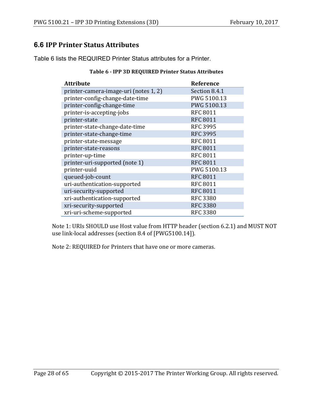# **6.6 IPP Printer Status Attributes**

Table 6 lists the REQUIRED Printer Status attributes for a Printer.

| <b>Attribute</b>                      | Reference       |
|---------------------------------------|-----------------|
| printer-camera-image-uri (notes 1, 2) | Section 8.4.1   |
| printer-config-change-date-time       | PWG 5100.13     |
| printer-config-change-time            | PWG 5100.13     |
| printer-is-accepting-jobs             | <b>RFC 8011</b> |
| printer-state                         | <b>RFC 8011</b> |
| printer-state-change-date-time        | <b>RFC 3995</b> |
| printer-state-change-time             | <b>RFC 3995</b> |
| printer-state-message                 | <b>RFC 8011</b> |
| printer-state-reasons                 | <b>RFC 8011</b> |
| printer-up-time                       | <b>RFC 8011</b> |
| printer-uri-supported (note 1)        | <b>RFC 8011</b> |
| printer-uuid                          | PWG 5100.13     |
| queued-job-count                      | <b>RFC 8011</b> |
| uri-authentication-supported          | <b>RFC 8011</b> |
| uri-security-supported                | <b>RFC 8011</b> |
| xri-authentication-supported          | <b>RFC 3380</b> |
| xri-security-supported                | <b>RFC 3380</b> |
| xri-uri-scheme-supported              | <b>RFC 3380</b> |

#### **Table 6 - IPP 3D REQUIRED Printer Status Attributes**

Note 1: URIs SHOULD use Host value from HTTP header (section 6.2.1) and MUST NOT use link-local addresses (section 8.4 of [PWG5100.14]).

Note 2: REQUIRED for Printers that have one or more cameras.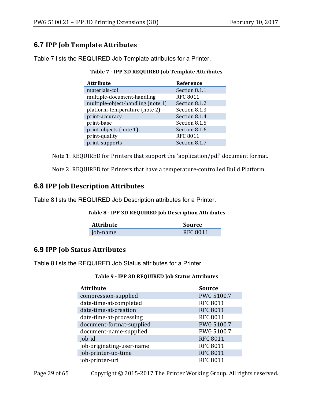# **6.7 IPP Job Template Attributes**

Table 7 lists the REQUIRED Job Template attributes for a Printer.

| <b>Attribute</b>                  | Reference       |
|-----------------------------------|-----------------|
| materials-col                     | Section 8.1.1   |
| multiple-document-handling        | <b>RFC 8011</b> |
| multiple-object-handling (note 1) | Section 8.1.2   |
| platform-temperature (note 2)     | Section 8.1.3   |
| print-accuracy                    | Section 8.1.4   |
| print-base                        | Section 8.1.5   |
| print-objects (note 1)            | Section 8.1.6   |
| print-quality                     | <b>RFC 8011</b> |

print-supports Section 8.1.7

**Table 7 - IPP 3D REQUIRED Job Template Attributes**

Note 1: REQUIRED for Printers that support the 'application/pdf' document format.

Note 2: REQUIRED for Printers that have a temperature-controlled Build Platform.

# **6.8 IPP Job Description Attributes**

Table 8 lists the REQUIRED Job Description attributes for a Printer.

#### **Table 8 - IPP 3D REQUIRED Job Description Attributes**

| <b>Attribute</b> | Source          |
|------------------|-----------------|
| job-name         | <b>RFC 8011</b> |

# **6.9 IPP Job Status Attributes**

Table 8 lists the REQUIRED Job Status attributes for a Printer.

#### **Table 9 - IPP 3D REQUIRED Job Status Attributes**

| <b>Attribute</b>          | <b>Source</b>   |
|---------------------------|-----------------|
| compression-supplied      | PWG 5100.7      |
| date-time-at-completed    | <b>RFC 8011</b> |
| date-time-at-creation     | <b>RFC 8011</b> |
| date-time-at-processing   | <b>RFC 8011</b> |
| document-format-supplied  | PWG 5100.7      |
| document-name-supplied    | PWG 5100.7      |
| job-id                    | <b>RFC 8011</b> |
| job-originating-user-name | <b>RFC 8011</b> |
| job-printer-up-time       | <b>RFC 8011</b> |
| job-printer-uri           | <b>RFC 8011</b> |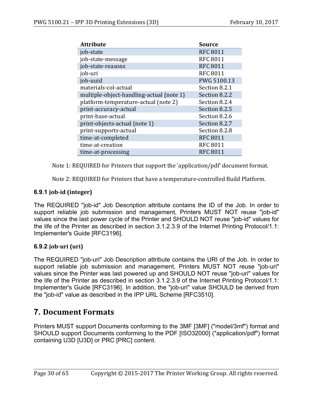| <b>Attribute</b>                         | <b>Source</b>   |
|------------------------------------------|-----------------|
| job-state                                | <b>RFC 8011</b> |
| job-state-message                        | <b>RFC 8011</b> |
| job-state-reasons                        | <b>RFC 8011</b> |
| job-uri                                  | <b>RFC 8011</b> |
| job-uuid                                 | PWG 5100.13     |
| materials-col-actual                     | Section 8.2.1   |
| multiple-object-handling-actual (note 1) | Section 8.2.2   |
| platform-temperature-actual (note 2)     | Section 8.2.4   |
| print-accuracy-actual                    | Section 8.2.5   |
| print-base-actual                        | Section 8.2.6   |
| print-objects-actual (note 1)            | Section 8.2.7   |
| print-supports-actual                    | Section 8.2.8   |
| time-at-completed                        | <b>RFC 8011</b> |
| time-at-creation                         | <b>RFC 8011</b> |
| time-at-processing                       | <b>RFC 8011</b> |

Note 1: REQUIRED for Printers that support the 'application/pdf' document format.

Note 2: REQUIRED for Printers that have a temperature-controlled Build Platform.

## **6.9.1 job-id (integer)**

The REQUIRED "job-id" Job Description attribute contains the ID of the Job. In order to support reliable job submission and management, Printers MUST NOT reuse "job-id" values since the last power cycle of the Printer and SHOULD NOT reuse "job-id" values for the life of the Printer as described in section 3.1.2.3.9 of the Internet Printing Protocol/1.1: Implementer's Guide [RFC3196].

## **6.9.2 job-uri (uri)**

The REQUIRED "job-uri" Job Description attribute contains the URI of the Job. In order to support reliable job submission and management, Printers MUST NOT reuse "job-uri" values since the Printer was last powered up and SHOULD NOT reuse "job-uri" values for the life of the Printer as described in section 3.1.2.3.9 of the Internet Printing Protocol/1.1: Implementer's Guide [RFC3196]. In addition, the "job-uri" value SHOULD be derived from the "job-id" value as described in the IPP URL Scheme [RFC3510].

# **7. Document Formats**

Printers MUST support Documents conforming to the 3MF [3MF] ("model/3mf") format and SHOULD support Documents conforming to the PDF [ISO32000] ("application/pdf") format containing U3D [U3D] or PRC [PRC] content.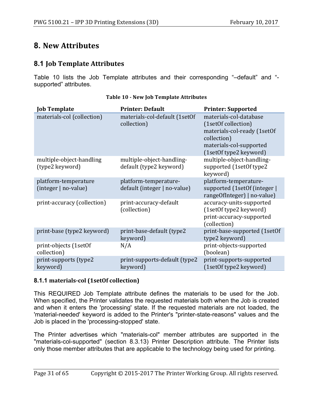# **8. New Attributes**

# **8.1 Job Template Attributes**

Table 10 lists the Job Template attributes and their corresponding "–default" and " supported" attributes.

| <b>Job Template</b>                          | <b>Printer: Default</b>                               | <b>Printer: Supported</b>                                                                                                                        |
|----------------------------------------------|-------------------------------------------------------|--------------------------------------------------------------------------------------------------------------------------------------------------|
| materials-col (collection)                   | materials-col-default (1setOf<br>collection)          | materials-col-database<br>(1setOf collection)<br>materials-col-ready (1setOf<br>collection)<br>materials-col-supported<br>(1setOf type2 keyword) |
| multiple-object-handling<br>(type2 keyword)  | multiple-object-handling-<br>default (type2 keyword)  | multiple-object-handling-<br>supported (1setOf type2<br>keyword)                                                                                 |
| platform-temperature<br>(integer   no-value) | platform-temperature-<br>default (integer   no-value) | platform-temperature-<br>supported (1setOf (integer)<br>rangeOfInteger)   no-value)                                                              |
| print-accuracy (collection)                  | print-accuracy-default<br>(collection)                | accuracy-units-supported<br>(1setOf type2 keyword)<br>print-accuracy-supported<br>(collection)                                                   |
| print-base (type2 keyword)                   | print-base-default (type2<br>keyword)                 | print-base-supported (1setOf<br>type2 keyword)                                                                                                   |
| print-objects (1setOf<br>collection)         | N/A                                                   | print-objects-supported<br>(boolean)                                                                                                             |
| print-supports (type2<br>keyword)            | print-supports-default (type2<br>keyword)             | print-supports-supported<br>(1setOf type2 keyword)                                                                                               |

#### **Table 10 - New Job Template Attributes**

## **8.1.1 materials-col (1setOf collection)**

This REQUIRED Job Template attribute defines the materials to be used for the Job. When specified, the Printer validates the requested materials both when the Job is created and when it enters the 'processing' state. If the requested materials are not loaded, the 'material-needed' keyword is added to the Printer's "printer-state-reasons" values and the Job is placed in the 'processing-stopped' state.

The Printer advertises which "materials-col" member attributes are supported in the "materials-col-supported" (section 8.3.13) Printer Description attribute. The Printer lists only those member attributes that are applicable to the technology being used for printing.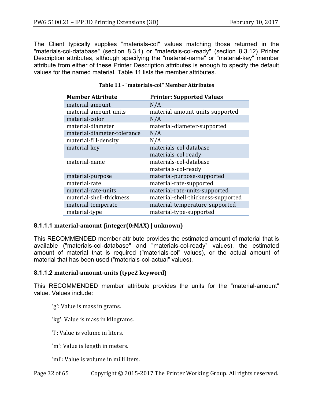The Client typically supplies "materials-col" values matching those returned in the "materials-col-database" (section 8.3.1) or "materials-col-ready" (section 8.3.12) Printer Description attributes, although specifying the "material-name" or "material-key" member attribute from either of these Printer Description attributes is enough to specify the default values for the named material. Table 11 lists the member attributes.

| <b>Member Attribute</b>     | <b>Printer: Supported Values</b>   |
|-----------------------------|------------------------------------|
| material-amount             | N/A                                |
| material-amount-units       | material-amount-units-supported    |
| material-color              | N/A                                |
| material-diameter           | material-diameter-supported        |
| material-diameter-tolerance | N/A                                |
| material-fill-density       | N/A                                |
| material-key                | materials-col-database             |
|                             | materials-col-ready                |
| material-name               | materials-col-database             |
|                             | materials-col-ready                |
| material-purpose            | material-purpose-supported         |
| material-rate               | material-rate-supported            |
| material-rate-units         | material-rate-units-supported      |
| material-shell-thickness    | material-shell-thickness-supported |
| material-temperate          | material-temperature-supported     |
| material-type               | material-type-supported            |

#### **Table 11 - "materials-col" Member Attributes**

#### **8.1.1.1 material-amount (integer(0:MAX) | unknown)**

This RECOMMENDED member attribute provides the estimated amount of material that is available ("materials-col-database" and "materials-col-ready" values), the estimated amount of material that is required ("materials-col" values), or the actual amount of material that has been used ("materials-col-actual" values).

#### **8.1.1.2 material-amount-units (type2 keyword)**

This RECOMMENDED member attribute provides the units for the "material-amount" value. Values include:

'g': Value is mass in grams.

'kg': Value is mass in kilograms.

'l': Value is volume in liters.

'm': Value is length in meters.

'ml': Value is volume in milliliters.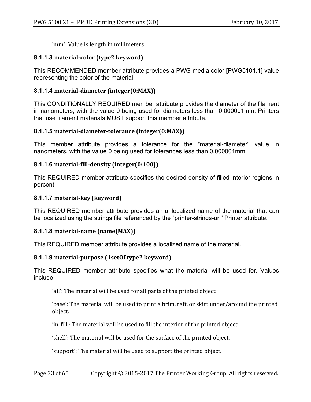'mm': Value is length in millimeters.

#### **8.1.1.3 material-color (type2 keyword)**

This RECOMMENDED member attribute provides a PWG media color [PWG5101.1] value representing the color of the material.

### **8.1.1.4 material-diameter (integer(0:MAX))**

This CONDITIONALLY REQUIRED member attribute provides the diameter of the filament in nanometers, with the value 0 being used for diameters less than 0.000001mm. Printers that use filament materials MUST support this member attribute.

### **8.1.1.5** material-diameter-tolerance (integer(0:MAX))

This member attribute provides a tolerance for the "material-diameter" value in nanometers, with the value 0 being used for tolerances less than 0.000001mm.

### **8.1.1.6 material-fill-density (integer(0:100))**

This REQUIRED member attribute specifies the desired density of filled interior regions in percent.

### **8.1.1.7 material-key (keyword)**

This REQUIRED member attribute provides an unlocalized name of the material that can be localized using the strings file referenced by the "printer-strings-uri" Printer attribute.

### **8.1.1.8** material-name (name(MAX))

This REQUIRED member attribute provides a localized name of the material.

### **8.1.1.9** material-purpose (1setOf type2 keyword)

This REQUIRED member attribute specifies what the material will be used for. Values include:

'all': The material will be used for all parts of the printed object.

'base': The material will be used to print a brim, raft, or skirt under/around the printed object.

'in-fill': The material will be used to fill the interior of the printed object.

'shell': The material will be used for the surface of the printed object.

'support': The material will be used to support the printed object.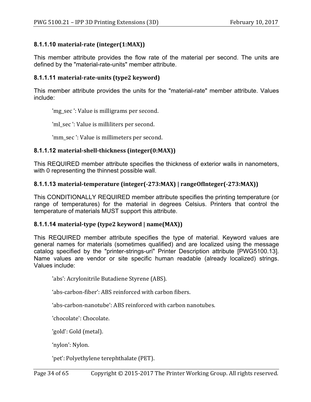### **8.1.1.10 material-rate (integer(1:MAX))**

This member attribute provides the flow rate of the material per second. The units are defined by the "material-rate-units" member attribute.

### **8.1.1.11 material-rate-units (type2 keyword)**

This member attribute provides the units for the "material-rate" member attribute. Values include:

'mg\_sec ': Value is milligrams per second.

'ml\_sec': Value is milliliters per second.

'mm\_sec ': Value is millimeters per second.

### **8.1.1.12 material-shell-thickness (integer(0:MAX))**

This REQUIRED member attribute specifies the thickness of exterior walls in nanometers, with 0 representing the thinnest possible wall.

### **8.1.1.13** material-temperature (integer(-273:MAX) | rangeOfInteger(-273:MAX))

This CONDITIONALLY REQUIRED member attribute specifies the printing temperature (or range of temperatures) for the material in degrees Celsius. Printers that control the temperature of materials MUST support this attribute.

#### **8.1.1.14** material-type (type2 keyword | name(MAX))

This REQUIRED member attribute specifies the type of material. Keyword values are general names for materials (sometimes qualified) and are localized using the message catalog specified by the "printer-strings-uri" Printer Description attribute [PWG5100.13]. Name values are vendor or site specific human readable (already localized) strings. Values include:

'abs': Acrylonitrile Butadiene Styrene (ABS).

'abs-carbon-fiber': ABS reinforced with carbon fibers.

'abs-carbon-nanotube': ABS reinforced with carbon nanotubes.

'chocolate': Chocolate.

'gold': Gold (metal).

'nylon': Nylon.

'pet': Polyethylene terephthalate (PET).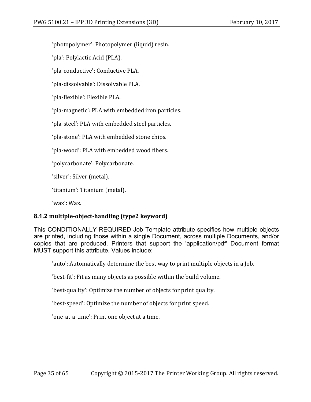'photopolymer': Photopolymer (liquid) resin.

'pla': Polylactic Acid (PLA).

'pla-conductive': Conductive PLA.

'pla-dissolvable': Dissolvable PLA.

'pla-flexible': Flexible PLA.

'pla-magnetic': PLA with embedded iron particles.

'pla-steel': PLA with embedded steel particles.

'pla-stone': PLA with embedded stone chips.

'pla-wood': PLA with embedded wood fibers.

'polycarbonate': Polycarbonate.

'silver': Silver (metal).

'titanium': Titanium (metal).

'wax': Wax.

## **8.1.2 multiple-object-handling (type2 keyword)**

This CONDITIONALLY REQUIRED Job Template attribute specifies how multiple objects are printed, including those within a single Document, across multiple Documents, and/or copies that are produced. Printers that support the 'application/pdf' Document format MUST support this attribute. Values include:

'auto': Automatically determine the best way to print multiple objects in a Job.

'best-fit': Fit as many objects as possible within the build volume.

'best-quality': Optimize the number of objects for print quality.

'best-speed': Optimize the number of objects for print speed.

'one-at-a-time': Print one object at a time.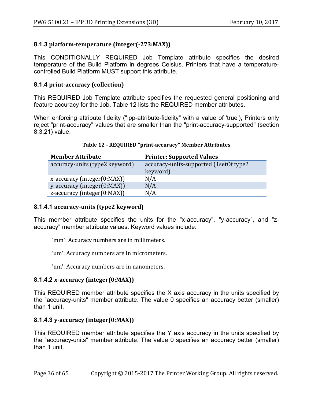## **8.1.3 platform-temperature (integer(-273:MAX))**

This CONDITIONALLY REQUIRED Job Template attribute specifies the desired temperature of the Build Platform in degrees Celsius. Printers that have a temperaturecontrolled Build Platform MUST support this attribute.

### **8.1.4 print-accuracy (collection)**

This REQUIRED Job Template attribute specifies the requested general positioning and feature accuracy for the Job. Table 12 lists the REQUIRED member attributes.

When enforcing attribute fidelity ("ipp-attribute-fidelity" with a value of 'true'), Printers only reject "print-accuracy" values that are smaller than the "print-accuracy-supported" (section 8.3.21) value.

| <b>Member Attribute</b>            | <b>Printer: Supported Values</b>       |
|------------------------------------|----------------------------------------|
| accuracy-units (type2 keyword)     | accuracy-units-supported (1setOf type2 |
|                                    | keyword)                               |
| $x$ -accuracy (integer(0:MAX))     | N/A                                    |
| y-accuracy (integer(0:MAX))        | N/A                                    |
| $z$ -accuracy (integer( $0:MAX$ )) | N/A                                    |

### **Table 12 - REQUIRED "print-accuracy" Member Attributes**

### **8.1.4.1 accuracy-units (type2 keyword)**

This member attribute specifies the units for the "x-accuracy", "y-accuracy", and "zaccuracy" member attribute values. Keyword values include:

'mm': Accuracy numbers are in millimeters.

'um': Accuracy numbers are in micrometers.

'nm': Accuracy numbers are in nanometers.

### **8.1.4.2 x-accuracy (integer(0:MAX))**

This REQUIRED member attribute specifies the X axis accuracy in the units specified by the "accuracy-units" member attribute. The value 0 specifies an accuracy better (smaller) than 1 unit.

### **8.1.4.3 y-accuracy (integer(0:MAX))**

This REQUIRED member attribute specifies the Y axis accuracy in the units specified by the "accuracy-units" member attribute. The value 0 specifies an accuracy better (smaller) than 1 unit.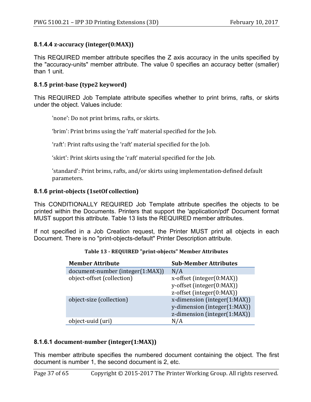### **8.1.4.4 z-accuracy (integer(0:MAX))**

This REQUIRED member attribute specifies the Z axis accuracy in the units specified by the "accuracy-units" member attribute. The value 0 specifies an accuracy better (smaller) than 1 unit.

### **8.1.5 print-base (type2 keyword)**

This REQUIRED Job Template attribute specifies whether to print brims, rafts, or skirts under the object. Values include:

'none': Do not print brims, rafts, or skirts.

'brim': Print brims using the 'raft' material specified for the Job.

'raft': Print rafts using the 'raft' material specified for the Job.

'skirt': Print skirts using the 'raft' material specified for the Job.

'standard': Print brims, rafts, and/or skirts using implementation-defined default parameters.

#### **8.1.6 print-objects (1setOf collection)**

This CONDITIONALLY REQUIRED Job Template attribute specifies the objects to be printed within the Documents. Printers that support the 'application/pdf' Document format MUST support this attribute. Table 13 lists the REQUIRED member attributes.

If not specified in a Job Creation request, the Printer MUST print all objects in each Document. There is no "print-objects-default" Printer Description attribute.

| <b>Member Attribute</b>          | <b>Sub-Member Attributes</b>                                                                 |
|----------------------------------|----------------------------------------------------------------------------------------------|
| document-number (integer(1:MAX)) | N/A                                                                                          |
| object-offset (collection)       | x-offset (integer(0:MAX))<br>y-offset (integer(0:MAX))<br>z-offset (integer(0:MAX))          |
| object-size (collection)         | x-dimension (integer(1:MAX))<br>y-dimension (integer(1:MAX))<br>z-dimension (integer(1:MAX)) |
| object-uuid (uri)                | N/A                                                                                          |

#### **Table 13 - REQUIRED "print-objects" Member Attributes**

#### **8.1.6.1 document-number (integer(1:MAX))**

This member attribute specifies the numbered document containing the object. The first document is number 1, the second document is 2, etc.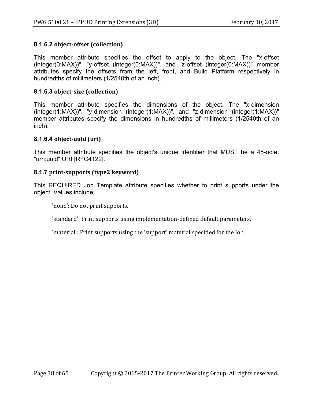### **8.1.6.2 object-offset (collection)**

This member attribute specifies the offset to apply to the object. The "x-offset (integer(0:MAX))", "y-offset (integer(0:MAX))", and "z-offset (integer(0:MAX))" member attributes specify the offsets from the left, front, and Build Platform respectively in hundredths of millimeters (1/2540th of an inch).

### **8.1.6.3 object-size (collection)**

This member attribute specifies the dimensions of the object. The "x-dimension (integer(1:MAX))", "y-dimension (integer(1:MAX))", and "z-dimension (integer(1:MAX))" member attributes specify the dimensions in hundredths of millimeters (1/2540th of an inch).

### **8.1.6.4 object-uuid (uri)**

This member attribute specifies the object's unique identifier that MUST be a 45-octet "urn:uuid" URI [RFC4122].

#### **8.1.7 print-supports (type2 keyword)**

This REQUIRED Job Template attribute specifies whether to print supports under the object. Values include:

'none': Do not print supports.

'standard': Print supports using implementation-defined default parameters.

'material': Print supports using the 'support' material specified for the Job.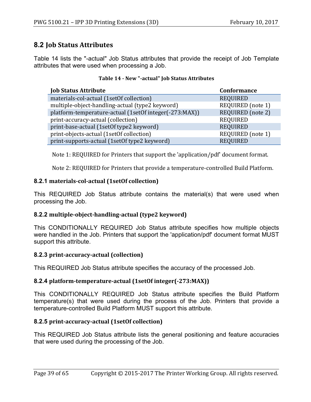# **8.2 Job Status Attributes**

Table 14 lists the "-actual" Job Status attributes that provide the receipt of Job Template attributes that were used when processing a Job.

| <b>Job Status Attribute</b>                            | <b>Conformance</b> |
|--------------------------------------------------------|--------------------|
| materials-col-actual (1setOf collection)               | <b>REQUIRED</b>    |
| multiple-object-handling-actual (type2 keyword)        | REQUIRED (note 1)  |
| platform-temperature-actual (1setOf integer(-273:MAX)) | REQUIRED (note 2)  |
| print-accuracy-actual (collection)                     | <b>REQUIRED</b>    |
| print-base-actual (1setOf type2 keyword)               | <b>REQUIRED</b>    |
| print-objects-actual (1setOf collection)               | REQUIRED (note 1)  |
| print-supports-actual (1setOf type2 keyword)           | <b>REQUIRED</b>    |

#### **Table 14 - New "-actual" Job Status Attributes**

Note 1: REQUIRED for Printers that support the 'application/pdf' document format.

Note 2: REQUIRED for Printers that provide a temperature-controlled Build Platform.

### **8.2.1** materials-col-actual (1setOf collection)

This REQUIRED Job Status attribute contains the material(s) that were used when processing the Job.

### **8.2.2 multiple-object-handling-actual (type2 keyword)**

This CONDITIONALLY REQUIRED Job Status attribute specifies how multiple objects were handled in the Job. Printers that support the 'application/pdf' document format MUST support this attribute.

#### **8.2.3 print-accuracy-actual (collection)**

This REQUIRED Job Status attribute specifies the accuracy of the processed Job.

#### **8.2.4 platform-temperature-actual** (1set Of integer(-273: MAX))

This CONDITIONALLY REQUIRED Job Status attribute specifies the Build Platform temperature(s) that were used during the process of the Job. Printers that provide a temperature-controlled Build Platform MUST support this attribute.

#### **8.2.5 print-accuracy-actual (1setOf collection)**

This REQUIRED Job Status attribute lists the general positioning and feature accuracies that were used during the processing of the Job.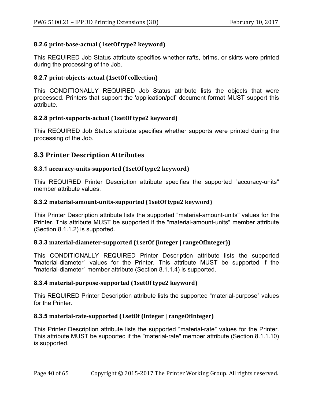### **8.2.6 print-base-actual (1setOf type2 keyword)**

This REQUIRED Job Status attribute specifies whether rafts, brims, or skirts were printed during the processing of the Job.

### **8.2.7 print-objects-actual (1setOf collection)**

This CONDITIONALLY REQUIRED Job Status attribute lists the objects that were processed. Printers that support the 'application/pdf' document format MUST support this attribute.

### **8.2.8** print-supports-actual (1set Of type 2 keyword)

This REQUIRED Job Status attribute specifies whether supports were printed during the processing of the Job.

## **8.3 Printer Description Attributes**

### **8.3.1** accuracy-units-supported (1setOf type2 keyword)

This REQUIRED Printer Description attribute specifies the supported "accuracy-units" member attribute values.

#### **8.3.2 material-amount-units-supported (1setOf type2 keyword)**

This Printer Description attribute lists the supported "material-amount-units" values for the Printer. This attribute MUST be supported if the "material-amount-units" member attribute (Section 8.1.1.2) is supported.

### 8.3.3 material-diameter-supported (1setOf (integer | rangeOfInteger))

This CONDITIONALLY REQUIRED Printer Description attribute lists the supported "material-diameter" values for the Printer. This attribute MUST be supported if the "material-diameter" member attribute (Section 8.1.1.4) is supported.

### **8.3.4** material-purpose-supported (1setOf type2 keyword)

This REQUIRED Printer Description attribute lists the supported "material-purpose" values for the Printer.

### **8.3.5 material-rate-supported (1setOf (integer | rangeOfInteger)**

This Printer Description attribute lists the supported "material-rate" values for the Printer. This attribute MUST be supported if the "material-rate" member attribute (Section 8.1.1.10) is supported.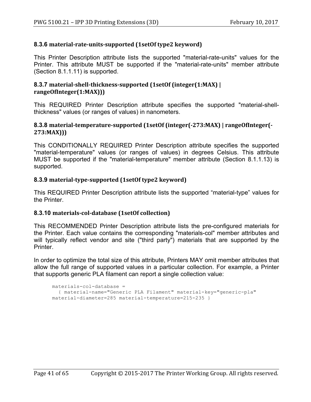### **8.3.6 material-rate-units-supported (1setOf type2 keyword)**

This Printer Description attribute lists the supported "material-rate-units" values for the Printer. This attribute MUST be supported if the "material-rate-units" member attribute (Section 8.1.1.11) is supported.

### **8.3.7** material-shell-thickness-supported (1setOf (integer(1:MAX) | **rangeOfInteger(1:MAX)))**

This REQUIRED Printer Description attribute specifies the supported "material-shellthickness" values (or ranges of values) in nanometers.

#### **8.3.8 material-temperature-supported (1setOf (integer(-273:MAX) | rangeOfInteger(- 273:MAX)))**

This CONDITIONALLY REQUIRED Printer Description attribute specifies the supported "material-temperature" values (or ranges of values) in degrees Celsius. This attribute MUST be supported if the "material-temperature" member attribute (Section 8.1.1.13) is supported.

### **8.3.9** material-type-supported (1setOf type2 keyword)

This REQUIRED Printer Description attribute lists the supported "material-type" values for the Printer.

#### **8.3.10 materials-col-database (1setOf collection)**

This RECOMMENDED Printer Description attribute lists the pre-configured materials for the Printer. Each value contains the corresponding "materials-col" member attributes and will typically reflect vendor and site ("third party") materials that are supported by the **Printer** 

In order to optimize the total size of this attribute, Printers MAY omit member attributes that allow the full range of supported values in a particular collection. For example, a Printer that supports generic PLA filament can report a single collection value:

```
materials-col-database =
   { material-name="Generic PLA Filament" material-key="generic-pla" 
material-diameter=285 material-temperature=215-235 }
```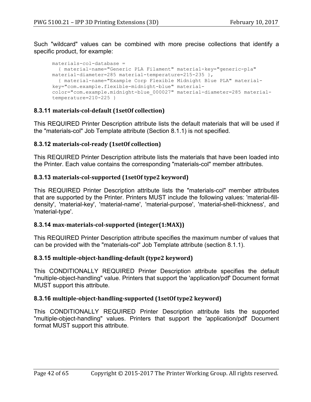Such "wildcard" values can be combined with more precise collections that identify a specific product, for example:

```
materials-col-database =
  { material-name="Generic PLA Filament" material-key="generic-pla" 
material-diameter=285 material-temperature=215-235 },
  { material-name="Example Corp Flexible Midnight Blue PLA" material-
key="com.example.flexible-midnight-blue" material-
color="com.example.midnight-blue_000027" material-diameter=285 material-
temperature=210-225 }
```
### **8.3.11 materials-col-default (1setOf collection)**

This REQUIRED Printer Description attribute lists the default materials that will be used if the "materials-col" Job Template attribute (Section 8.1.1) is not specified.

#### **8.3.12 materials-col-ready (1setOf collection)**

This REQUIRED Printer Description attribute lists the materials that have been loaded into the Printer. Each value contains the corresponding "materials-col" member attributes.

#### **8.3.13** materials-col-supported (1setOf type2 keyword)

This REQUIRED Printer Description attribute lists the "materials-col" member attributes that are supported by the Printer. Printers MUST include the following values: 'material-filldensity', 'material-key', 'material-name', 'material-purpose', 'material-shell-thickness', and 'material-type'.

#### **8.3.14 max-materials-col-supported (integer(1:MAX))**

This REQUIRED Printer Description attribute specifies the maximum number of values that can be provided with the "materials-col" Job Template attribute (section 8.1.1).

#### **8.3.15 multiple-object-handling-default (type2 keyword)**

This CONDITIONALLY REQUIRED Printer Description attribute specifies the default "multiple-object-handling" value. Printers that support the 'application/pdf' Document format MUST support this attribute.

#### **8.3.16 multiple-object-handling-supported (1setOf type2 keyword)**

This CONDITIONALLY REQUIRED Printer Description attribute lists the supported "multiple-object-handling" values. Printers that support the 'application/pdf' Document format MUST support this attribute.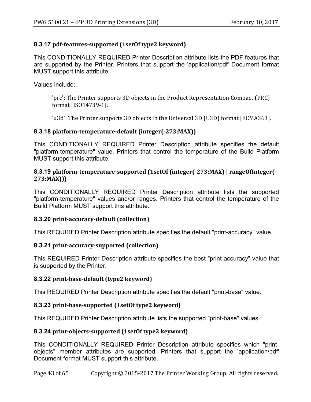### **8.3.17 pdf-features-supported (1setOf type2 keyword)**

This CONDITIONALLY REQUIRED Printer Description attribute lists the PDF features that are supported by the Printer. Printers that support the 'application/pdf' Document format MUST support this attribute.

Values include:

'prc': The Printer supports 3D objects in the Product Representation Compact (PRC) format [ISO14739-1].

'u3d': The Printer supports 3D objects in the Universal 3D (U3D) format [ECMA363].

### **8.3.18 platform-temperature-default (integer(-273:MAX))**

This CONDITIONALLY REQUIRED Printer Description attribute specifies the default "platform-temperature" value. Printers that control the temperature of the Build Platform MUST support this attribute.

#### **8.3.19 platform-temperature-supported (1setOf (integer(-273:MAX) | rangeOfInteger(- 273:MAX)))**

This CONDITIONALLY REQUIRED Printer Description attribute lists the supported "platform-temperature" values and/or ranges. Printers that control the temperature of the Build Platform MUST support this attribute.

### **8.3.20 print-accuracy-default (collection)**

This REQUIRED Printer Description attribute specifies the default "print-accuracy" value.

### **8.3.21 print-accuracy-supported (collection)**

This REQUIRED Printer Description attribute specifies the best "print-accuracy" value that is supported by the Printer.

### **8.3.22 print-base-default (type2 keyword)**

This REQUIRED Printer Description attribute specifies the default "print-base" value.

### **8.3.23 print-base-supported (1setOf type2 keyword)**

This REQUIRED Printer Description attribute lists the supported "print-base" values.

### **8.3.24 print-objects-supported (1setOf type2 keyword)**

This CONDITIONALLY REQUIRED Printer Description attribute specifies which "printobjects" member attributes are supported. Printers that support the 'application/pdf' Document format MUST support this attribute.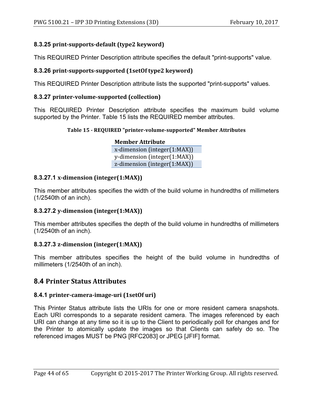## **8.3.25 print-supports-default (type2 keyword)**

This REQUIRED Printer Description attribute specifies the default "print-supports" value.

### **8.3.26 print-supports-supported (1setOf type2 keyword)**

This REQUIRED Printer Description attribute lists the supported "print-supports" values.

### **8.3.27 printer-volume-supported (collection)**

This REQUIRED Printer Description attribute specifies the maximum build volume supported by the Printer. Table 15 lists the REQUIRED member attributes.

### **Table 15 - REQUIRED "printer-volume-supported" Member Attributes**

**Member Attribute**  $x$ -dimension (integer(1:MAX)) y-dimension (integer(1:MAX))  $z$ -dimension (integer $(1:MAX)$ )

### **8.3.27.1 x-dimension (integer(1:MAX))**

This member attributes specifies the width of the build volume in hundredths of millimeters (1/2540th of an inch).

### **8.3.27.2 y-dimension (integer(1:MAX))**

This member attributes specifies the depth of the build volume in hundredths of millimeters (1/2540th of an inch).

### **8.3.27.3 z-dimension (integer(1:MAX))**

This member attributes specifies the height of the build volume in hundredths of millimeters (1/2540th of an inch).

# **8.4 Printer Status Attributes**

### **8.4.1 printer-camera-image-uri (1setOf uri)**

This Printer Status attribute lists the URIs for one or more resident camera snapshots. Each URI corresponds to a separate resident camera. The images referenced by each URI can change at any time so it is up to the Client to periodically poll for changes and for the Printer to atomically update the images so that Clients can safely do so. The referenced images MUST be PNG [RFC2083] or JPEG [JFIF] format.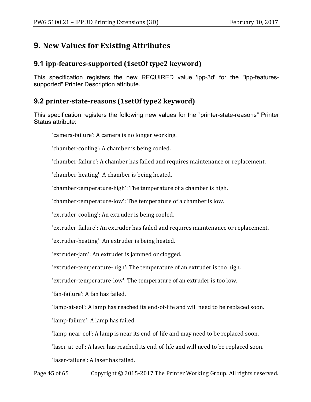# **9. New Values for Existing Attributes**

# **9.1** ipp-features-supported (1setOf type2 keyword)

This specification registers the new REQUIRED value 'ipp-3d' for the "ipp-featuressupported" Printer Description attribute.

# **9.2** printer-state-reasons (1setOf type2 keyword)

This specification registers the following new values for the "printer-state-reasons" Printer Status attribute:

'camera-failure': A camera is no longer working.

'chamber-cooling': A chamber is being cooled.

'chamber-failure': A chamber has failed and requires maintenance or replacement.

'chamber-heating': A chamber is being heated.

'chamber-temperature-high': The temperature of a chamber is high.

'chamber-temperature-low': The temperature of a chamber is low.

'extruder-cooling': An extruder is being cooled.

'extruder-failure': An extruder has failed and requires maintenance or replacement.

'extruder-heating': An extruder is being heated.

'extruder-jam': An extruder is jammed or clogged.

'extruder-temperature-high': The temperature of an extruder is too high.

'extruder-temperature-low': The temperature of an extruder is too low.

'fan-failure': A fan has failed.

'lamp-at-eol': A lamp has reached its end-of-life and will need to be replaced soon.

'lamp-failure': A lamp has failed.

'lamp-near-eol': A lamp is near its end-of-life and may need to be replaced soon.

'laser-at-eol': A laser has reached its end-of-life and will need to be replaced soon.

'laser-failure': A laser has failed.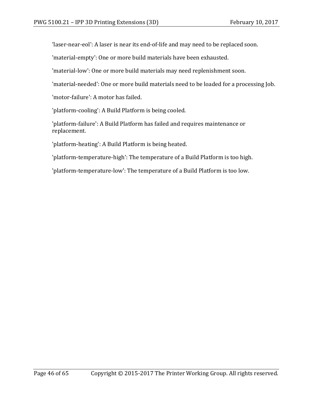'laser-near-eol': A laser is near its end-of-life and may need to be replaced soon.

'material-empty': One or more build materials have been exhausted.

'material-low': One or more build materials may need replenishment soon.

'material-needed': One or more build materials need to be loaded for a processing Job.

'motor-failure': A motor has failed.

'platform-cooling': A Build Platform is being cooled.

'platform-failure': A Build Platform has failed and requires maintenance or replacement.

'platform-heating': A Build Platform is being heated.

'platform-temperature-high': The temperature of a Build Platform is too high.

'platform-temperature-low': The temperature of a Build Platform is too low.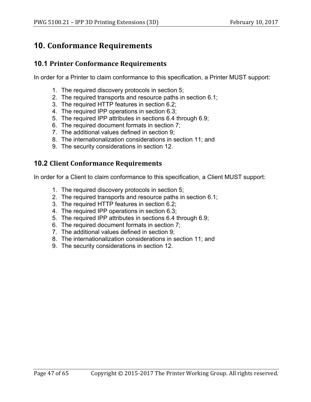# **10. Conformance Requirements**

## **10.1 Printer Conformance Requirements**

In order for a Printer to claim conformance to this specification, a Printer MUST support:

- 1. The required discovery protocols in section 5;
- 2. The required transports and resource paths in section 6.1;
- 3. The required HTTP features in section 6.2;
- 4. The required IPP operations in section 6.3;
- 5. The required IPP attributes in sections 6.4 through 6.9;
- 6. The required document formats in section 7;
- 7. The additional values defined in section 9;
- 8. The internationalization considerations in section 11; and
- 9. The security considerations in section 12.

# **10.2 Client Conformance Requirements**

In order for a Client to claim conformance to this specification, a Client MUST support:

- 1. The required discovery protocols in section 5;
- 2. The required transports and resource paths in section 6.1;
- 3. The required HTTP features in section 6.2;
- 4. The required IPP operations in section 6.3;
- 5. The required IPP attributes in sections 6.4 through 6.9;
- 6. The required document formats in section 7;
- 7. The additional values defined in section 9;
- 8. The internationalization considerations in section 11; and
- 9. The security considerations in section 12.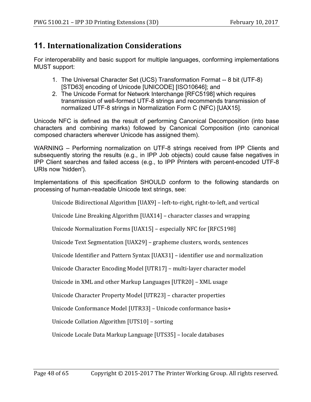# **11. Internationalization Considerations**

For interoperability and basic support for multiple languages, conforming implementations MUST support:

- 1. The Universal Character Set (UCS) Transformation Format -- 8 bit (UTF-8) [STD63] encoding of Unicode [UNICODE] [ISO10646]; and
- 2. The Unicode Format for Network Interchange [RFC5198] which requires transmission of well-formed UTF-8 strings and recommends transmission of normalized UTF-8 strings in Normalization Form C (NFC) [UAX15].

Unicode NFC is defined as the result of performing Canonical Decomposition (into base characters and combining marks) followed by Canonical Composition (into canonical composed characters wherever Unicode has assigned them).

WARNING – Performing normalization on UTF-8 strings received from IPP Clients and subsequently storing the results (e.g., in IPP Job objects) could cause false negatives in IPP Client searches and failed access (e.g., to IPP Printers with percent-encoded UTF-8 URIs now 'hidden').

Implementations of this specification SHOULD conform to the following standards on processing of human-readable Unicode text strings, see:

Unicode Bidirectional Algorithm [UAX9] – left-to-right, right-to-left, and vertical

Unicode Line Breaking Algorithm  $[UAX14]$  – character classes and wrapping

Unicode Normalization Forms [UAX15] - especially NFC for [RFC5198]

Unicode Text Segmentation [UAX29] - grapheme clusters, words, sentences

Unicode Identifier and Pattern Syntax [UAX31] - identifier use and normalization

Unicode Character Encoding Model [UTR17] – multi-layer character model

Unicode in XML and other Markup Languages [UTR20] - XML usage

Unicode Character Property Model [UTR23] - character properties

Unicode Conformance Model [UTR33] - Unicode conformance basis+

Unicode Collation Algorithm [UTS10] - sorting

Unicode Locale Data Markup Language [UTS35] - locale databases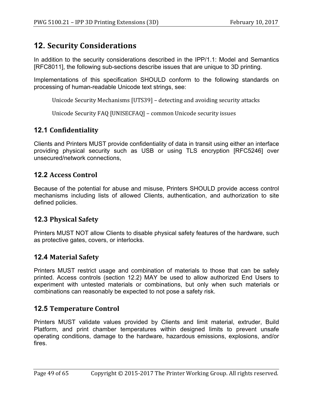# **12. Security Considerations**

In addition to the security considerations described in the IPP/1.1: Model and Semantics [RFC8011], the following sub-sections describe issues that are unique to 3D printing.

Implementations of this specification SHOULD conform to the following standards on processing of human-readable Unicode text strings, see:

Unicode Security Mechanisms [UTS39] - detecting and avoiding security attacks

Unicode Security FAQ [UNISECFAQ] - common Unicode security issues

# **12.1 Confidentiality**

Clients and Printers MUST provide confidentiality of data in transit using either an interface providing physical security such as USB or using TLS encryption [RFC5246] over unsecured/network connections,

# **12.2 Access Control**

Because of the potential for abuse and misuse, Printers SHOULD provide access control mechanisms including lists of allowed Clients, authentication, and authorization to site defined policies.

# **12.3 Physical Safety**

Printers MUST NOT allow Clients to disable physical safety features of the hardware, such as protective gates, covers, or interlocks.

# **12.4 Material Safety**

Printers MUST restrict usage and combination of materials to those that can be safely printed. Access controls (section 12.2) MAY be used to allow authorized End Users to experiment with untested materials or combinations, but only when such materials or combinations can reasonably be expected to not pose a safety risk.

# **12.5 Temperature Control**

Printers MUST validate values provided by Clients and limit material, extruder, Build Platform, and print chamber temperatures within designed limits to prevent unsafe operating conditions, damage to the hardware, hazardous emissions, explosions, and/or fires.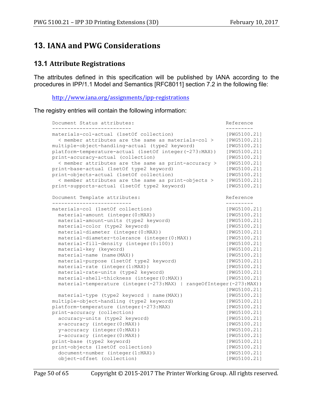# **13. IANA and PWG Considerations**

## **13.1 Attribute Registrations**

The attributes defined in this specification will be published by IANA according to the procedures in IPP/1.1 Model and Semantics [RFC8011] section 7.2 in the following file:

http://www.iana.org/assignments/ipp-registrations

The registry entries will contain the following information:

```
Document Status attributes: The Contract of the Reference
-------------------------- ---------
materials-col-actual (1setOf collection) [PWG5100.21]
 < member attributes are the same as materials-col > [PWG5100.21]
multiple-object-handling-actual (type2 keyword) [PWG5100.21]
platform-temperature-actual (1setOf integer(-273:MAX)) [PWG5100.21]
print-accuracy-actual (collection) [PWG5100.21]
  < member attributes are the same as print-accuracy > [PWG5100.21]
print-base-actual (1setOf type2 keyword) [PWG5100.21]
print-objects-actual (1setOf collection) [PWG5100.21]
  < member attributes are the same as print-objects > [PWG5100.21]
print-supports-actual (1setOf type2 keyword) [PWG5100.21]
Document Template attributes: The Reference Reference
-------------------------- ---------
materials-col (1setOf collection) [PWG5100.21]
 material-amount (integer(0:MAX)) [PWG5100.21]
  material-amount-units (type2 keyword) [PWG5100.21]
  material-color (type2 keyword) [PWG5100.21]
 material-diameter (integer(0:MAX)) [PWG5100.21]<br>material-diameter-tolerance (integer(0:MAX)) [PWG5100.21]
 material-diameter-tolerance (integer(0:MAX))
 material-fill-density (integer(0:100)) [PWG5100.21]<br>material-key (keyword) [PWG5100.211]
 material-key (keyword) [PWG5100.21]<br>material-name (name(MAX)) [PWG5100.211]
 material-name (name(MAX))
  material-purpose (1setOf type2 keyword) [PWG5100.21]
 material-rate (integer(1:MAX)) [PWG5100.21]<br>material-rate-units (type2 keyword) [PWG5100.21]
 material-rate-units (type2 keyword) [PWG5100.21]
 material-shell-thickness (integer(0:MAX)) [PWG5100.21]
  material-temperature (integer(-273:MAX) | rangeOfInteger(-273:MAX))
                                              [PWG5100.21]
 material-type (type2 keyword | name(MAX))
multiple-object-handling (type2 keyword) [PWG5100.21]
platform-temperature (integer(-273:MAX) [PWG5100.21]
print-accuracy (collection) [PWG5100.21]
  accuracy-units (type2 keyword) [PWG5100.21]
  x-accuracy (integer(0:MAX)) [PWG5100.21]
  y-accuracy (integer(0:MAX)) [PWG5100.21]
  z-accuracy (integer(0:MAX)) [PWG5100.21]
print-base (type2 keyword) [PWG5100.21]
print-objects (1setOf collection) [PWG5100.21]
  document-number (integer(1:MAX)) [PWG5100.21]
  object-offset (collection) [PWG5100.21]
```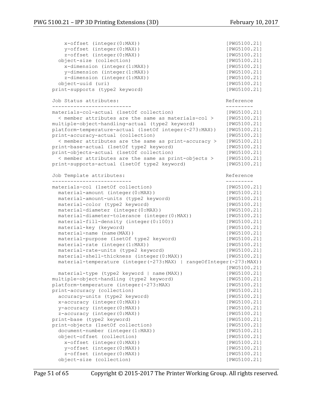```
 x-offset (integer(0:MAX)) [PWG5100.21]
    y-offset (integer(0:MAX)) [PWG5100.21]
   z-offset (integer(0:MAX)) [PWG5100.21]
  object-size (collection) [PWG5100.21]
    x-dimension (integer(1:MAX)) [PWG5100.21]
    y-dimension (integer(1:MAX)) [PWG5100.21]
   z-dimension (integer(1:MAX)) [PWG5100.21]
  object-uuid (uri) [PWG5100.21]
print-supports (type2 keyword) [PWG5100.21]
Job Status attributes: Reference
-------------------------- ---------
materials-col-actual (1setOf collection) [PWG5100.21]
  < member attributes are the same as materials-col > [PWG5100.21]
multiple-object-handling-actual (type2 keyword)
platform-temperature-actual (1setOf integer(-273:MAX)) [PWG5100.21]
print-accuracy-actual (collection) [PWG5100.21]
  < member attributes are the same as print-accuracy > [PWG5100.21]
print-base-actual (1setOf type2 keyword) [PWG5100.21]<br>print-objects-actual (1setOf collection) [PWG5100.21]
print-objects-actual (1setOf collection)
  < member attributes are the same as print-objects > [PWG5100.21]
print-supports-actual (1setOf type2 keyword) [PWG5100.21]
Job Template attributes: Reference
-------------------------- ---------
materials-col (1setOf collection) [PWG5100.21]
 material-amount (integer(0:MAX))<br>material-amount-units (type2 keyword) [PWG5100.21]
 material-amount-units (type2 keyword)
  material-color (type2 keyword) [PWG5100.21]
  material-diameter (integer(0:MAX)) [PWG5100.21]
  material-diameter-tolerance (integer(0:MAX)) [PWG5100.21]
  material-fill-density (integer(0:100)) [PWG5100.21]
 material-key (keyword) [PWG5100.21]<br>material-name (name(MAX)) [PWG5100.211]
 material-name (name(MAX))<br>material-purpose (1setOf type2 keyword) [PWG5100.211]
 material-purpose (1setOf type2 keyword)
 material-rate (integer(1:MAX)) [PWG5100.21]
 material-rate-units (type2 keyword) [PWG5100.21]
 material-shell-thickness (integer(0:MAX)) [PWG5100.21]
  material-temperature (integer(-273:MAX) | rangeOfInteger(-273:MAX))
                                           [PWG5100.21]
 material-type (type2 keyword | name(MAX)) [PWG5100.21]<br>ultiple-object-handling (type2 keyword) [PWG5100.21]
multiple-object-handling (type2 keyword)
platform-temperature (integer(-273:MAX) [PWG5100.21]
print-accuracy (collection) [PWG5100.21]
  accuracy-units (type2 keyword) [PWG5100.21]
  x-accuracy (integer(0:MAX)) [PWG5100.21]
 y-accuracy (integer(0:MAX)) [PWG5100.21]
  z-accuracy (integer(0:MAX)) [PWG5100.21]
print-base (type2 keyword) [PWG5100.21]
print-objects (1setOf collection) [PWG5100.21]
 document-number (integer(1:MAX)) [PWG5100.21]
  object-offset (collection) [PWG5100.21]
    x-offset (integer(0:MAX)) [PWG5100.21]
    y-offset (integer(0:MAX)) [PWG5100.21]
   z-offset (integer(0:MAX)) [PWG5100.21]
  object-size (collection) [PWG5100.21]
```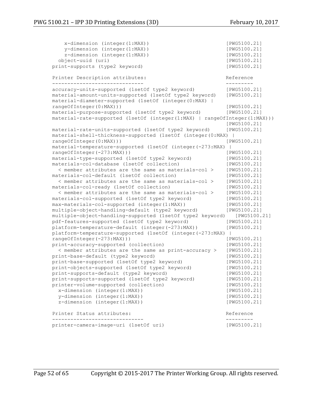```
 x-dimension (integer(1:MAX)) [PWG5100.21]
   y-dimension (integer(1:MAX)) [PWG5100.21]
   z-dimension (integer(1:MAX)) [PWG5100.21]
  object-uuid (uri) [PWG5100.21]
print-supports (type2 keyword) [PWG5100.21]
Printer Description attributes: The Contract Reference
------------------------------ ---------
accuracy-units-supported (1setOf type2 keyword) [PWG5100.21]
material-amount-units-supported (1setOf type2 keyword) [PWG5100.21]
material-diameter-supported (1setOf (integer(0:MAX) | 
rangeOfInteger(0:MAX))) [PWG5100.21]
material-purpose-supported (1setOf type2 keyword) [PWG5100.21]
material-rate-supported (1setOf (integer(1:MAX) | rangeOfInteger(1:MAX)))
                                             [PWG5100.21]
material-rate-units-supported (1setOf type2 keyword) [PWG5100.21]
material-shell-thickness-supported (1setOf (integer(0:MAX) | 
rangeOfInteger(0:MAX))) [PWG5100.21]
material-temperature-supported (1setOf (integer(-273:MAX) | 
rangeOfInteger(-273:MAX))) [PWG5100.21]
material-type-supported (1setOf type2 keyword) [PWG5100.21]
materials-col-database (1setOf collection) [PWG5100.21]
  < member attributes are the same as materials-col > [PWG5100.21]
materials-col-default (1setOf collection) [PWG5100.21]
  < member attributes are the same as materials-col > [PWG5100.21]
materials-col-ready (1setOf collection) [PWG5100.21]
  < member attributes are the same as materials-col > [PWG5100.21]
materials-col-supported (1setOf type2 keyword) [PWG5100.21]
max-materials-col-supported (integer(1:MAX)) [PWG5100.21]
multiple-object-handling-default (type2 keyword) [PWG5100.21]
multiple-object-handling-supported (1setOf type2 keyword) [PWG5100.21]
pdf-features-supported (1setOf type2 keyword) [PWG5100.21]
platform-temperature-default (integer(-273:MAX)) [PWG5100.21]
platform-temperature-supported (1setOf (integer(-273:MAX) | 
rangeOfInteger(-273:MAX))) [PWG5100.21]
print-accuracy-supported (collection) [PWG5100.21]
  < member attributes are the same as print-accuracy > [PWG5100.21]
print-base-default (type2 keyword) [PWG5100.21]
print-base-supported (1setOf type2 keyword) [PWG5100.21]
print-objects-supported (1setOf type2 keyword) [PWG5100.21]
print-supports-default (type2 keyword) [PWG5100.21]
print-supports-supported (1setOf type2 keyword) [PWG5100.21]
printer-volume-supported (collection) [PWG5100.21]
  x-dimension (integer(1:MAX)) [PWG5100.21]
  y-dimension (integer(1:MAX)) [PWG5100.21]
  z-dimension (integer(1:MAX)) [PWG5100.21]
Printer Status attributes: The Communication of the Reference
------------------------------ ---------
printer-camera-image-uri (1setOf uri) [PWG5100.21]
```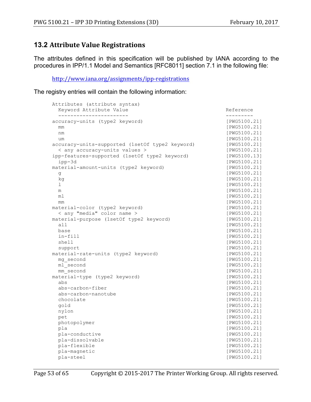# **13.2 Attribute Value Registrations**

The attributes defined in this specification will be published by IANA according to the procedures in IPP/1.1 Model and Semantics [RFC8011] section 7.1 in the following file:

http://www.iana.org/assignments/ipp-registrations

The registry entries will contain the following information:

| Attributes (attribute syntax)                   |              |
|-------------------------------------------------|--------------|
| Keyword Attribute Value                         | Reference    |
| -----------------------                         | ----------   |
| accuracy-units (type2 keyword)                  | [PWG5100.21] |
| mm                                              | [PWG5100.21] |
| nm                                              | [PWG5100.21] |
| um                                              | [PWG5100.21] |
| accuracy-units-supported (1setOf type2 keyword) | [PWG5100.21] |
| < any accuracy-units values >                   | [PWG5100.21] |
| ipp-features-supported (1setOf type2 keyword)   | [PWG5100.13] |
| ipp-3d                                          | [PWG5100.21] |
| material-amount-units (type2 keyword)           | [PWG5100.21] |
| g                                               | [PWG5100.21] |
| kg                                              | [PWG5100.21] |
| ı                                               | [PWG5100.21] |
| m                                               | [PWG5100.21] |
| ml                                              | [PWG5100.21] |
| mm                                              | [PWG5100.21] |
| material-color (type2 keyword)                  | [PWG5100.21] |
| < any "media" color name >                      | [PWG5100.21] |
| material-purpose (1setOf type2 keyword)         | [PWG5100.21] |
| all                                             | [PWG5100.21] |
| base                                            | [PWG5100.21] |
| in-fill                                         | [PWG5100.21] |
| shell                                           | [PWG5100.21] |
| support                                         | [PWG5100.21] |
| material-rate-units (type2 keyword)             | [PWG5100.21] |
| mg second                                       | [PWG5100.21] |
| ml second                                       | [PWG5100.21] |
| mm second                                       | [PWG5100.21] |
| material-type (type2 keyword)                   | [PWG5100.21] |
| abs                                             | [PWG5100.21] |
| abs-carbon-fiber                                | [PWG5100.21] |
| abs-carbon-nanotube                             | [PWG5100.21] |
| chocolate                                       | [PWG5100.21] |
| gold                                            | [PWG5100.21] |
| nylon                                           | [PWG5100.21] |
| pet                                             | [PWG5100.21] |
| photopolymer                                    | [PWG5100.21] |
| pla                                             | [PWG5100.21] |
| pla-conductive                                  | [PWG5100.21] |
| pla-dissolvable                                 | [PWG5100.21] |
| pla-flexible                                    | [PWG5100.21] |
| pla-magnetic                                    | [PWG5100.21] |
| pla-steel                                       | [PWG5100.21] |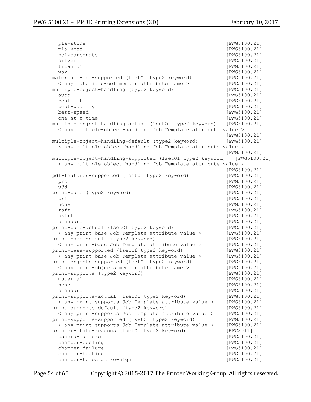pla-stone [PWG5100.21] pla-wood [PWG5100.21] polycarbonate [PWG5100.21] silver [PWG5100.21] titanium [PWG5100.21] wax [PWG5100.21] materials-col-supported (1setOf type2 keyword) [PWG5100.21] < any materials-col member attribute name > [PWG5100.21] multiple-object-handling (type2 keyword) [PWG5100.21] auto [PWG5100.21] best-fit [PWG5100.21] best-quality [PWG5100.21] best-speed [PWG5100.21] one-at-a-time [PWG5100.21] multiple-object-handling-actual (1setOf type2 keyword) [PWG5100.21] < any multiple-object-handling Job Template attribute value > [PWG5100.21] multiple-object-handling-default (type2 keyword) [PWG5100.21] < any multiple-object-handling Job Template attribute value > [PWG5100.21] multiple-object-handling-supported (1setOf type2 keyword) [PWG5100.21] < any multiple-object-handling Job Template attribute value > [PWG5100.21] pdf-features-supported (1setOf type2 keyword) [PWG5100.21] prc [PWG5100.21] u3d [PWG5100.21] print-base (type2 keyword) [PWG5100.21] brim [PWG5100.21] none [PWG5100.21] raft [PWG5100.21] skirt [PWG5100.21] standard [PWG5100.21] print-base-actual (1setOf type2 keyword) [PWG5100.21] < any print-base Job Template attribute value > [PWG5100.21] print-base-default (type2 keyword) < any print-base Job Template attribute value > [PWG5100.21] print-base-supported (1setOf type2 keyword) [PWG5100.21] < any print-base Job Template attribute value > [PWG5100.21] print-objects-supported (1setOf type2 keyword) [PWG5100.21] < any print-objects member attribute name > [PWG5100.21] print-supports (type2 keyword) [PWG5100.21] material [PWG5100.21] none [PWG5100.21] standard [PWG5100.21] print-supports-actual (1setOf type2 keyword) [PWG5100.21] < any print-supports Job Template attribute value > [PWG5100.21] print-supports-default (type2 keyword) [PWG5100.21] < any print-supports Job Template attribute value > [PWG5100.21] print-supports-supported (1setOf type2 keyword) [PWG5100.21] < any print-supports Job Template attribute value > [PWG5100.21] printer-state-reasons (1setOf type2 keyword) [RFC8011] camera-failure [PWG5100.21] chamber-cooling [PWG5100.21] chamber-failure [PWG5100.21] chamber-heating  $[PWG5100.21]$ chamber-temperature-high [PWG5100.21]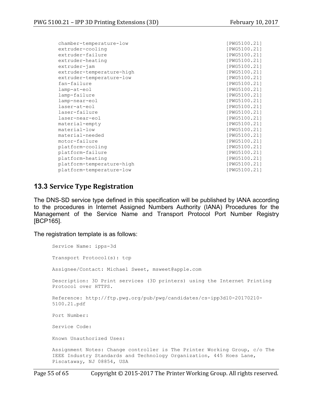chamber-temperature-low [PWG5100.21] extruder-cooling and a set of the set of the set of the set of the set of the set of the set of the set of the set of the set of the set of the set of the set of the set of the set of the set of the set of the set of the s extruder-failure [PWG5100.21] extruder-heating and control of the control of the control of the control of the control of the control of the control of the control of the control of the control of the control of the control of the control of the contro extruder-jam [PWG5100.21] extruder-temperature-high [PWG5100.21] extruder-temperature-low [PWG5100.21] fan-failure [PWG5100.21] lamp-at-eol [PWG5100.21] lamp-failure [PWG5100.21] lamp-near-eol [PWG5100.21] laser-at-eol [PWG5100.21] laser-failure [PWG5100.21] laser-near-eol [PWG5100.21]<br>material-empty [PWG5100.21] material-empty material-low [PWG5100.21] material-needed [PWG5100.21] motor-failure [PWG5100.21] platform-cooling [PWG5100.21] platform-failure [PWG5100.21] platform-heating [PWG5100.21] platform-temperature-high [PWG5100.21] platform-temperature-low [PWG5100.21]

## **13.3 Service Type Registration**

The DNS-SD service type defined in this specification will be published by IANA according to the procedures in Internet Assigned Numbers Authority (IANA) Procedures for the Management of the Service Name and Transport Protocol Port Number Registry [BCP165].

The registration template is as follows:

Service Name: ipps-3d Transport Protocol(s): tcp Assignee/Contact: Michael Sweet, msweet@apple.com Description: 3D Print services (3D printers) using the Internet Printing Protocol over HTTPS. Reference: http://ftp.pwg.org/pub/pwg/candidates/cs-ipp3d10-20170210- 5100.21.pdf Port Number: Service Code: Known Unauthorized Uses: Assignment Notes: Change controller is The Printer Working Group, c/o The IEEE Industry Standards and Technology Organization, 445 Hoes Lane, Piscataway, NJ 08854, USA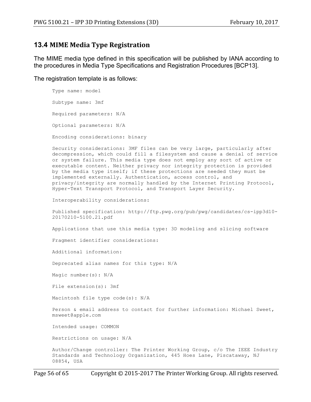## **13.4 MIME Media Type Registration**

The MIME media type defined in this specification will be published by IANA according to the procedures in Media Type Specifications and Registration Procedures [BCP13].

The registration template is as follows:

Type name: model Subtype name: 3mf Required parameters: N/A Optional parameters: N/A Encoding considerations: binary

Security considerations: 3MF files can be very large, particularly after decompression, which could fill a filesystem and cause a denial of service or system failure. This media type does not employ any sort of active or executable content. Neither privacy nor integrity protection is provided by the media type itself; if these protections are needed they must be implemented externally. Authentication, access control, and privacy/integrity are normally handled by the Internet Printing Protocol, Hyper-Text Transport Protocol, and Transport Layer Security.

Interoperability considerations:

Published specification: http://ftp.pwg.org/pub/pwg/candidates/cs-ipp3d10- 20170210-5100.21.pdf

Applications that use this media type: 3D modeling and slicing software

Fragment identifier considerations:

Additional information:

Deprecated alias names for this type: N/A

Magic number(s): N/A

File extension(s): 3mf

Macintosh file type code(s): N/A

Person & email address to contact for further information: Michael Sweet, msweet@apple.com

Intended usage: COMMON

Restrictions on usage: N/A

Author/Change controller: The Printer Working Group, c/o The IEEE Industry Standards and Technology Organization, 445 Hoes Lane, Piscataway, NJ 08854, USA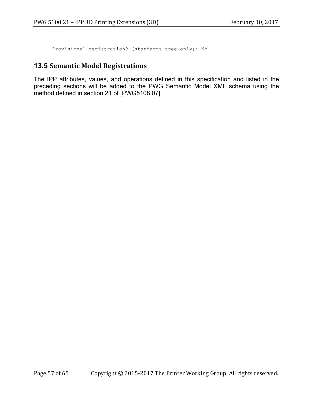Provisional registration? (standards tree only): No

## **13.5 Semantic Model Registrations**

The IPP attributes, values, and operations defined in this specification and listed in the preceding sections will be added to the PWG Semantic Model XML schema using the method defined in section 21 of [PWG5108.07].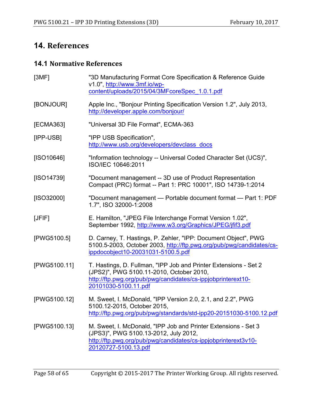# **14. References**

# **14.1 Normative References**

| [3MF]        | "3D Manufacturing Format Core Specification & Reference Guide<br>v1.0", http://www.3mf.io/wp-<br>content/uploads/2015/04/3MFcoreSpec 1.0.1.pdf                                                       |
|--------------|------------------------------------------------------------------------------------------------------------------------------------------------------------------------------------------------------|
| [BONJOUR]    | Apple Inc., "Bonjour Printing Specification Version 1.2", July 2013,<br>http://developer.apple.com/bonjour/                                                                                          |
| [ECMA363]    | "Universal 3D File Format", ECMA-363                                                                                                                                                                 |
| [IPP-USB]    | "IPP USB Specification",<br>http://www.usb.org/developers/devclass_docs                                                                                                                              |
| [ SO10646]   | "Information technology -- Universal Coded Character Set (UCS)",<br>ISO/IEC 10646:2011                                                                                                               |
| [ISO14739]   | "Document management -- 3D use of Product Representation<br>Compact (PRC) format -- Part 1: PRC 10001", ISO 14739-1:2014                                                                             |
| [ISO32000]   | "Document management - Portable document format - Part 1: PDF<br>1.7", ISO 32000-1:2008                                                                                                              |
| [JFIF]       | E. Hamilton, "JPEG File Interchange Format Version 1.02",<br>September 1992, http://www.w3.org/Graphics/JPEG/jfif3.pdf                                                                               |
| [PWG5100.5]  | D. Carney, T. Hastings, P. Zehler, "IPP: Document Object", PWG<br>5100.5-2003, October 2003, http://ftp.pwg.org/pub/pwg/candidates/cs-<br>ippdocobject10-20031031-5100.5.pdf                         |
| [PWG5100.11] | T. Hastings, D. Fullman, "IPP Job and Printer Extensions - Set 2<br>(JPS2)", PWG 5100.11-2010, October 2010,<br>http://ftp.pwg.org/pub/pwg/candidates/cs-ippjobprinterext10-<br>20101030-5100.11.pdf |
| [PWG5100.12] | M. Sweet, I. McDonald, "IPP Version 2.0, 2.1, and 2.2", PWG<br>5100.12-2015, October 2015,<br>http://ftp.pwg.org/pub/pwg/standards/std-ipp20-20151030-5100.12.pdf                                    |
| [PWG5100.13] | M. Sweet, I. McDonald, "IPP Job and Printer Extensions - Set 3<br>(JPS3)", PWG 5100.13-2012, July 2012,<br>http://ftp.pwg.org/pub/pwg/candidates/cs-ippjobprinterext3v10-<br>20120727-5100.13.pdf    |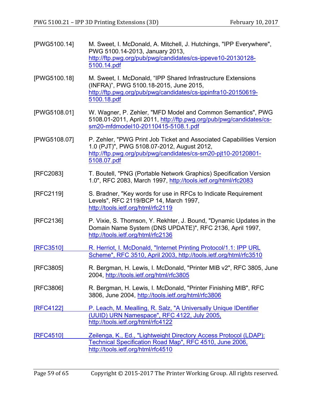| [PWG5100.14]     | M. Sweet, I. McDonald, A. Mitchell, J. Hutchings, "IPP Everywhere",<br>PWG 5100.14-2013, January 2013,<br>http://ftp.pwg.org/pub/pwg/candidates/cs-ippeve10-20130128-<br>5100.14.pdf               |
|------------------|----------------------------------------------------------------------------------------------------------------------------------------------------------------------------------------------------|
| [PWG5100.18]     | M. Sweet, I. McDonald, "IPP Shared Infrastructure Extensions<br>(INFRA)", PWG 5100.18-2015, June 2015,<br>http://ftp.pwg.org/pub/pwg/candidates/cs-ippinfra10-20150619-<br>5100.18.pdf             |
| [PWG5108.01]     | W. Wagner, P. Zehler, "MFD Model and Common Semantics", PWG<br>5108.01-2011, April 2011, http://ftp.pwg.org/pub/pwg/candidates/cs-<br>sm20-mfdmodel10-20110415-5108.1.pdf                          |
| [PWG5108.07]     | P. Zehler, "PWG Print Job Ticket and Associated Capabilities Version<br>1.0 (PJT)", PWG 5108.07-2012, August 2012,<br>http://ftp.pwg.org/pub/pwg/candidates/cs-sm20-pjt10-20120801-<br>5108.07.pdf |
| [RFC2083]        | T. Boutell, "PNG (Portable Network Graphics) Specification Version<br>1.0", RFC 2083, March 1997, http://tools.ietf.org/html/rfc2083                                                               |
| [RFC2119]        | S. Bradner, "Key words for use in RFCs to Indicate Requirement<br>Levels", RFC 2119/BCP 14, March 1997,<br>http://tools.ietf.org/html/rfc2119                                                      |
| [RFC2136]        | P. Vixie, S. Thomson, Y. Rekhter, J. Bound, "Dynamic Updates in the<br>Domain Name System (DNS UPDATE)", RFC 2136, April 1997,<br>http://tools.ietf.org/html/rfc2136                               |
| <b>[RFC3510]</b> | R. Herriot, I. McDonald, "Internet Printing Protocol/1.1: IPP URL<br>Scheme", RFC 3510, April 2003, http://tools.ietf.org/html/rfc3510                                                             |
| [RFC3805]        | R. Bergman, H. Lewis, I. McDonald, "Printer MIB v2", RFC 3805, June<br>2004, http://tools.ietf.org/html/rfc3805                                                                                    |
| [RFC3806]        | R. Bergman, H. Lewis, I. McDonald, "Printer Finishing MIB", RFC<br>3806, June 2004, http://tools.ietf.org/html/rfc3806                                                                             |
| <b>IRFC41221</b> | P. Leach, M. Mealling, R. Salz, "A Universally Unique IDentifier<br>(UUID) URN Namespace", RFC 4122, July 2005,<br>http://tools.ietf.org/html/rfc4122                                              |
| <b>[RFC4510]</b> | Zeilenga, K., Ed., "Lightweight Directory Access Protocol (LDAP):<br>Technical Specification Road Map", RFC 4510, June 2006,<br>http://tools.ietf.org/html/rfc4510                                 |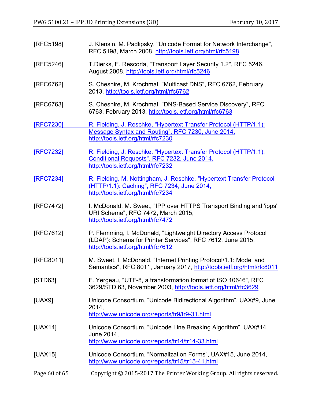| [RFC5198]     | J. Klensin, M. Padlipsky, "Unicode Format for Network Interchange",<br>RFC 5198, March 2008, http://tools.ietf.org/html/rfc5198                                      |
|---------------|----------------------------------------------------------------------------------------------------------------------------------------------------------------------|
| [RFC5246]     | T.Dierks, E. Rescorla, "Transport Layer Security 1.2", RFC 5246,<br>August 2008, http://tools.ietf.org/html/rfc5246                                                  |
| [RFC6762]     | S. Cheshire, M. Krochmal, "Multicast DNS", RFC 6762, February<br>2013, http://tools.ietf.org/html/rfc6762                                                            |
| [RFC6763]     | S. Cheshire, M. Krochmal, "DNS-Based Service Discovery", RFC<br>6763, February 2013, http://tools.ietf.org/html/rfc6763                                              |
| [RFC7230]     | R. Fielding, J. Reschke, "Hypertext Transfer Protocol (HTTP/1.1):<br>Message Syntax and Routing", RFC 7230, June 2014,<br>http://tools.ietf.org/html/rfc7230         |
| [RFC7232]     | R. Fielding, J. Reschke, "Hypertext Transfer Protocol (HTTP/1.1):<br>Conditional Requests", RFC 7232, June 2014,<br>http://tools.ietf.org/html/rfc7232               |
| [RFC7234]     | R. Fielding, M. Nottingham, J. Reschke, "Hypertext Transfer Protocol<br>(HTTP/1.1): Caching", RFC 7234, June 2014,<br>http://tools.ietf.org/html/rfc7234             |
| [RFC7472]     | I. McDonald, M. Sweet, "IPP over HTTPS Transport Binding and 'ipps'<br>URI Scheme", RFC 7472, March 2015,<br>http://tools.ietf.org/html/rfc7472                      |
| [RFC7612]     | P. Flemming, I. McDonald, "Lightweight Directory Access Protocol<br>(LDAP): Schema for Printer Services", RFC 7612, June 2015,<br>http://tools.ietf.org/html/rfc7612 |
| [RFC8011]     | M. Sweet, I. McDonald, "Internet Printing Protocol/1.1: Model and<br>Semantics", RFC 8011, January 2017, http://tools.ietf.org/html/rfc8011                          |
| [STD63]       | F. Yergeau, "UTF-8, a transformation format of ISO 10646", RFC<br>3629/STD 63, November 2003, http://tools.ietf.org/html/rfc3629                                     |
| [UAX9]        | Unicode Consortium, "Unicode Bidirectional Algorithm", UAX#9, June<br>2014,<br>http://www.unicode.org/reports/tr9/tr9-31.html                                        |
| [UAX14]       | Unicode Consortium, "Unicode Line Breaking Algorithm", UAX#14,<br>June 2014,<br>http://www.unicode.org/reports/tr14/tr14-33.html                                     |
| [UAX15]       | Unicode Consortium, "Normalization Forms", UAX#15, June 2014,<br>http://www.unicode.org/reports/tr15/tr15-41.html                                                    |
| Page 60 of 65 | Copyright © 2015-2017 The Printer Working Group. All rights reserved.                                                                                                |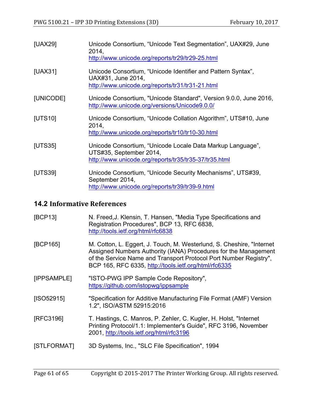| [UAX29]   | Unicode Consortium, "Unicode Text Segmentation", UAX#29, June<br>2014.<br>http://www.unicode.org/reports/tr29/tr29-25.html                     |
|-----------|------------------------------------------------------------------------------------------------------------------------------------------------|
| [UAX31]   | Unicode Consortium, "Unicode Identifier and Pattern Syntax",<br>UAX#31, June 2014,<br>http://www.unicode.org/reports/tr31/tr31-21.html         |
| [UNICODE] | Unicode Consortium, "Unicode Standard", Version 9.0.0, June 2016,<br>http://www.unicode.org/versions/Unicode9.0.0/                             |
| [UTS10]   | Unicode Consortium, "Unicode Collation Algorithm", UTS#10, June<br>2014.<br>http://www.unicode.org/reports/tr10/tr10-30.html                   |
| [UTS35]   | Unicode Consortium, "Unicode Locale Data Markup Language",<br>UTS#35, September 2014,<br>http://www.unicode.org/reports/tr35/tr35-37/tr35.html |
| [UTS39]   | Unicode Consortium, "Unicode Security Mechanisms", UTS#39,<br>September 2014,<br>http://www.unicode.org/reports/tr39/tr39-9.html               |

# **14.2 Informative References**

| [BCP13]     | N. Freed, J. Klensin, T. Hansen, "Media Type Specifications and<br>Registration Procedures", BCP 13, RFC 6838,<br>http://tools.ietf.org/html/rfc6838                                                                                                                    |
|-------------|-------------------------------------------------------------------------------------------------------------------------------------------------------------------------------------------------------------------------------------------------------------------------|
| [BCP165]    | M. Cotton, L. Eggert, J. Touch, M. Westerlund, S. Cheshire, "Internet"<br>Assigned Numbers Authority (IANA) Procedures for the Management<br>of the Service Name and Transport Protocol Port Number Registry",<br>BCP 165, RFC 6335, http://tools.ietf.org/html/rfc6335 |
| [IPPSAMPLE] | "ISTO-PWG IPP Sample Code Repository",<br>https://github.com/istopwg/ippsample                                                                                                                                                                                          |
| [ SO52915]  | "Specification for Additive Manufacturing File Format (AMF) Version<br>1.2", ISO/ASTM 52915:2016                                                                                                                                                                        |
| [RFC3196]   | T. Hastings, C. Manros, P. Zehler, C. Kugler, H. Holst, "Internet"<br>Printing Protocol/1.1: Implementer's Guide", RFC 3196, November<br>2001, http://tools.ietf.org/html/rfc3196                                                                                       |
| [STLFORMAT] | 3D Systems, Inc., "SLC File Specification", 1994                                                                                                                                                                                                                        |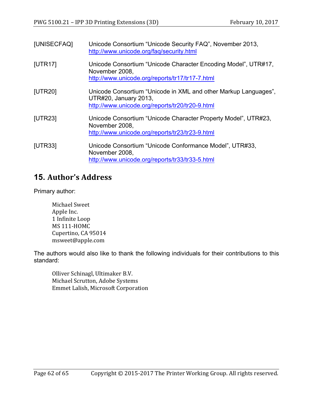| [UNISECFAQ] | Unicode Consortium "Unicode Security FAQ", November 2013,<br>http://www.unicode.org/faq/security.html                                       |
|-------------|---------------------------------------------------------------------------------------------------------------------------------------------|
| [UTR17]     | Unicode Consortium "Unicode Character Encoding Model", UTR#17,<br>November 2008,<br>http://www.unicode.org/reports/tr17/tr17-7.html         |
| [UTR20]     | Unicode Consortium "Unicode in XML and other Markup Languages",<br>UTR#20, January 2013,<br>http://www.unicode.org/reports/tr20/tr20-9.html |
| [UTR23]     | Unicode Consortium "Unicode Character Property Model", UTR#23,<br>November 2008,<br>http://www.unicode.org/reports/tr23/tr23-9.html         |
| [UTR33]     | Unicode Consortium "Unicode Conformance Model", UTR#33,<br>November 2008,<br>http://www.unicode.org/reports/tr33/tr33-5.html                |

# **15. Author's Address**

Primary author:

Michael Sweet Apple Inc. 1 Infinite Loop MS 111-HOMC Cupertino, CA 95014 msweet@apple.com

The authors would also like to thank the following individuals for their contributions to this standard:

Olliver Schinagl, Ultimaker B.V. Michael Scrutton, Adobe Systems Emmet Lalish, Microsoft Corporation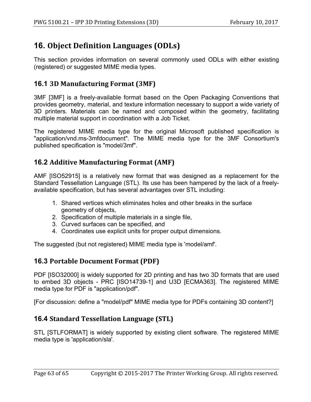# **16. Object Definition Languages (ODLs)**

This section provides information on several commonly used ODLs with either existing (registered) or suggested MIME media types.

# **16.1 3D Manufacturing Format (3MF)**

3MF [3MF] is a freely-available format based on the Open Packaging Conventions that provides geometry, material, and texture information necessary to support a wide variety of 3D printers. Materials can be named and composed within the geometry, facilitating multiple material support in coordination with a Job Ticket.

The registered MIME media type for the original Microsoft published specification is "application/vnd.ms-3mfdocument". The MIME media type for the 3MF Consortium's published specification is "model/3mf".

# **16.2 Additive Manufacturing Format (AMF)**

AMF [ISO52915] is a relatively new format that was designed as a replacement for the Standard Tessellation Language (STL). Its use has been hampered by the lack of a freelyavailable specification, but has several advantages over STL including:

- 1. Shared vertices which eliminates holes and other breaks in the surface geometry of objects,
- 2. Specification of multiple materials in a single file,
- 3. Curved surfaces can be specified, and
- 4. Coordinates use explicit units for proper output dimensions.

The suggested (but not registered) MIME media type is 'model/amf'.

# **16.3 Portable Document Format (PDF)**

PDF [ISO32000] is widely supported for 2D printing and has two 3D formats that are used to embed 3D objects - PRC [ISO14739-1] and U3D [ECMA363]. The registered MIME media type for PDF is "application/pdf".

[For discussion: define a "model/pdf" MIME media type for PDFs containing 3D content?]

# **16.4 Standard Tessellation Language (STL)**

STL [STLFORMAT] is widely supported by existing client software. The registered MIME media type is 'application/sla'.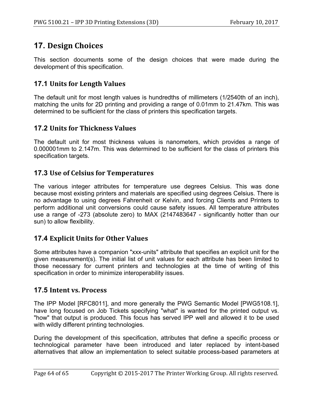# **17. Design Choices**

This section documents some of the design choices that were made during the development of this specification.

# **17.1 Units for Length Values**

The default unit for most length values is hundredths of millimeters (1/2540th of an inch), matching the units for 2D printing and providing a range of 0.01mm to 21.47km. This was determined to be sufficient for the class of printers this specification targets.

# **17.2 Units for Thickness Values**

The default unit for most thickness values is nanometers, which provides a range of 0.000001mm to 2.147m. This was determined to be sufficient for the class of printers this specification targets.

# **17.3** Use of Celsius for Temperatures

The various integer attributes for temperature use degrees Celsius. This was done because most existing printers and materials are specified using degrees Celsius. There is no advantage to using degrees Fahrenheit or Kelvin, and forcing Clients and Printers to perform additional unit conversions could cause safety issues. All temperature attributes use a range of -273 (absolute zero) to MAX (2147483647 - significantly hotter than our sun) to allow flexibility.

# **17.4 Explicit Units for Other Values**

Some attributes have a companion "xxx-units" attribute that specifies an explicit unit for the given measurement(s). The initial list of unit values for each attribute has been limited to those necessary for current printers and technologies at the time of writing of this specification in order to minimize interoperability issues.

# **17.5 Intent vs. Process**

The IPP Model [RFC8011], and more generally the PWG Semantic Model [PWG5108.1], have long focused on Job Tickets specifying "what" is wanted for the printed output vs. "how" that output is produced. This focus has served IPP well and allowed it to be used with wildly different printing technologies.

During the development of this specification, attributes that define a specific process or technological parameter have been introduced and later replaced by intent-based alternatives that allow an implementation to select suitable process-based parameters at